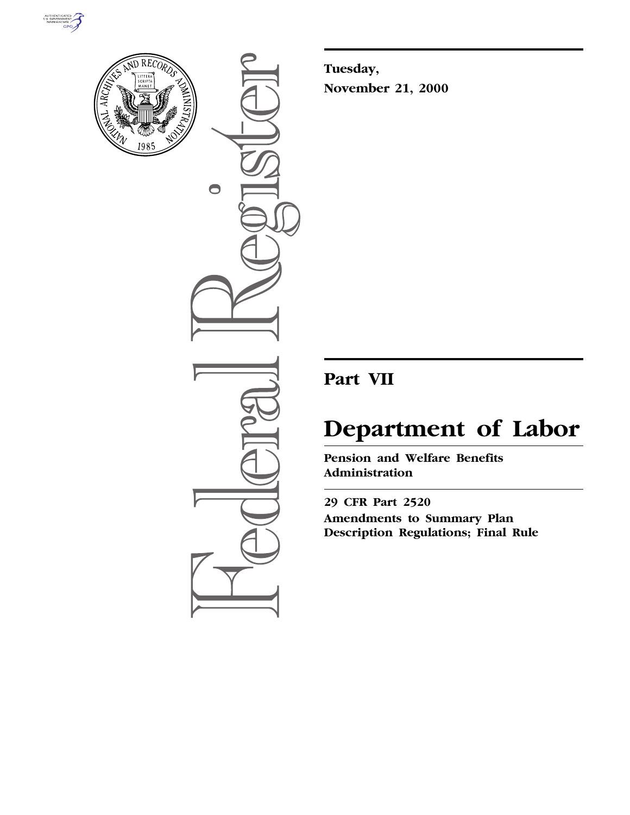



 $\bigcirc$ 

**Tuesday, November 21, 2000**

# **Part VII**

# **Department of Labor**

**Pension and Welfare Benefits Administration**

**29 CFR Part 2520 Amendments to Summary Plan Description Regulations; Final Rule**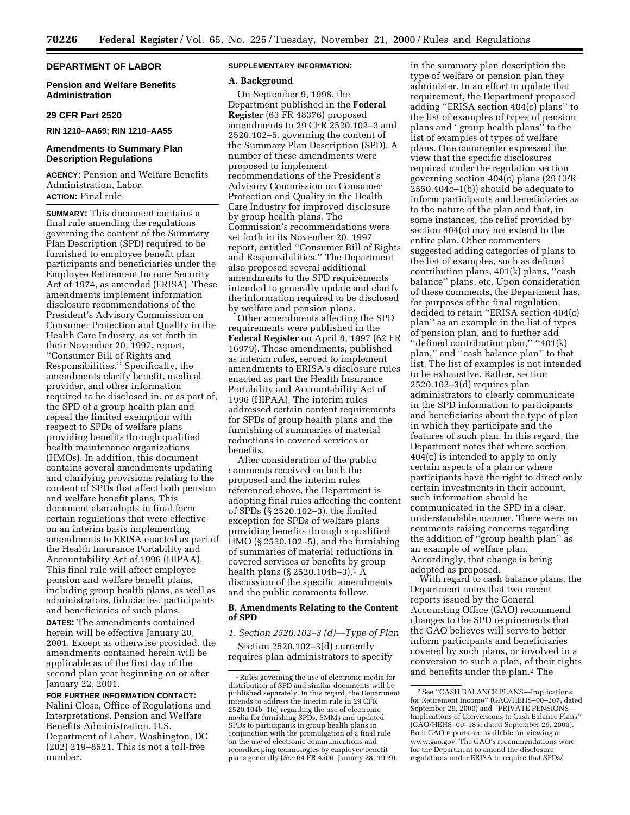# **DEPARTMENT OF LABOR**

# **Pension and Welfare Benefits Administration**

#### **29 CFR Part 2520**

**RIN 1210–AA69; RIN 1210–AA55**

#### **Amendments to Summary Plan Description Regulations**

**AGENCY:** Pension and Welfare Benefits Administration, Labor. **ACTION:** Final rule.

**SUMMARY:** This document contains a final rule amending the regulations governing the content of the Summary Plan Description (SPD) required to be furnished to employee benefit plan participants and beneficiaries under the Employee Retirement Income Security Act of 1974, as amended (ERISA). These amendments implement information disclosure recommendations of the President's Advisory Commission on Consumer Protection and Quality in the Health Care Industry, as set forth in their November 20, 1997, report, ''Consumer Bill of Rights and Responsibilities.'' Specifically, the amendments clarify benefit, medical provider, and other information required to be disclosed in, or as part of, the SPD of a group health plan and repeal the limited exemption with respect to SPDs of welfare plans providing benefits through qualified health maintenance organizations (HMOs). In addition, this document contains several amendments updating and clarifying provisions relating to the content of SPDs that affect both pension and welfare benefit plans. This document also adopts in final form certain regulations that were effective on an interim basis implementing amendments to ERISA enacted as part of the Health Insurance Portability and Accountability Act of 1996 (HIPAA). This final rule will affect employee pension and welfare benefit plans, including group health plans, as well as administrators, fiduciaries, participants and beneficiaries of such plans.

**DATES:** The amendments contained herein will be effective January 20, 2001. Except as otherwise provided, the amendments contained herein will be applicable as of the first day of the second plan year beginning on or after January 22, 2001.

**FOR FURTHER INFORMATION CONTACT:** Nalini Close, Office of Regulations and Interpretations, Pension and Welfare Benefits Administration, U.S. Department of Labor, Washington, DC (202) 219–8521. This is not a toll-free number.

# **SUPPLEMENTARY INFORMATION:**

#### **A. Background**

On September 9, 1998, the Department published in the **Federal Register** (63 FR 48376) proposed amendments to 29 CFR 2520.102–3 and 2520.102–5, governing the content of the Summary Plan Description (SPD). A number of these amendments were proposed to implement recommendations of the President's Advisory Commission on Consumer Protection and Quality in the Health Care Industry for improved disclosure by group health plans. The Commission's recommendations were set forth in its November 20, 1997 report, entitled ''Consumer Bill of Rights and Responsibilities.'' The Department also proposed several additional amendments to the SPD requirements intended to generally update and clarify the information required to be disclosed by welfare and pension plans.

Other amendments affecting the SPD requirements were published in the **Federal Register** on April 8, 1997 (62 FR 16979). These amendments, published as interim rules, served to implement amendments to ERISA's disclosure rules enacted as part the Health Insurance Portability and Accountability Act of 1996 (HIPAA). The interim rules addressed certain content requirements for SPDs of group health plans and the furnishing of summaries of material reductions in covered services or benefits.

After consideration of the public comments received on both the proposed and the interim rules referenced above, the Department is adopting final rules affecting the content of SPDs (§ 2520.102–3), the limited exception for SPDs of welfare plans providing benefits through a qualified HMO (§ 2520.102–5), and the furnishing of summaries of material reductions in covered services or benefits by group health plans (§ 2520.104b–3).1 A discussion of the specific amendments and the public comments follow.

#### **B. Amendments Relating to the Content of SPD**

# *1. Section 2520.102–3 (d)—Type of Plan*

Section 2520.102–3(d) currently requires plan administrators to specify

in the summary plan description the type of welfare or pension plan they administer. In an effort to update that requirement, the Department proposed adding ''ERISA section 404(c) plans'' to the list of examples of types of pension plans and ''group health plans'' to the list of examples of types of welfare plans. One commenter expressed the view that the specific disclosures required under the regulation section governing section 404(c) plans (29 CFR 2550.404c–1(b)) should be adequate to inform participants and beneficiaries as to the nature of the plan and that, in some instances, the relief provided by section 404(c) may not extend to the entire plan. Other commenters suggested adding categories of plans to the list of examples, such as defined contribution plans, 401(k) plans, ''cash balance'' plans, etc. Upon consideration of these comments, the Department has, for purposes of the final regulation, decided to retain ''ERISA section 404(c) plan'' as an example in the list of types of pension plan, and to further add ''defined contribution plan,'' ''401(k) plan,'' and ''cash balance plan'' to that list. The list of examples is not intended to be exhaustive. Rather, section 2520.102–3(d) requires plan administrators to clearly communicate in the SPD information to participants and beneficiaries about the type of plan in which they participate and the features of such plan. In this regard, the Department notes that where section 404(c) is intended to apply to only certain aspects of a plan or where participants have the right to direct only certain investments in their account, such information should be communicated in the SPD in a clear, understandable manner. There were no comments raising concerns regarding the addition of ''group health plan'' as an example of welfare plan. Accordingly, that change is being adopted as proposed.

With regard to cash balance plans, the Department notes that two recent reports issued by the General Accounting Office (GAO) recommend changes to the SPD requirements that the GAO believes will serve to better inform participants and beneficiaries covered by such plans, or involved in a conversion to such a plan, of their rights and benefits under the plan.2 The

<sup>1</sup>Rules governing the use of electronic media for distribution of SPD and similar documents will be published separately. In this regard, the Department intends to address the interim rule in 29 CFR 2520.104b–1(c) regarding the use of electronic media for furnishing SPDs, SMMs and updated SPDs to participants in group health plans in conjunction with the promulgation of a final rule on the use of electronic communications and recordkeeping technologies by employee benefit plans generally (*See* 64 FR 4506, January 28, 1999).

<sup>2</sup>See ''CASH BALANCE PLANS—Implications for Retirement Income'' (GAO/HEHS–00–207, dated September 29, 2000) and ''PRIVATE PENSIONS— Implications of Conversions to Cash Balance Plans'' (GAO/HEHS–00–185, dated September 29, 2000). Both GAO reports are available for viewing at www.gao.gov. The GAO's recommendations were for the Department to amend the disclosure regulations under ERISA to require that SPDs/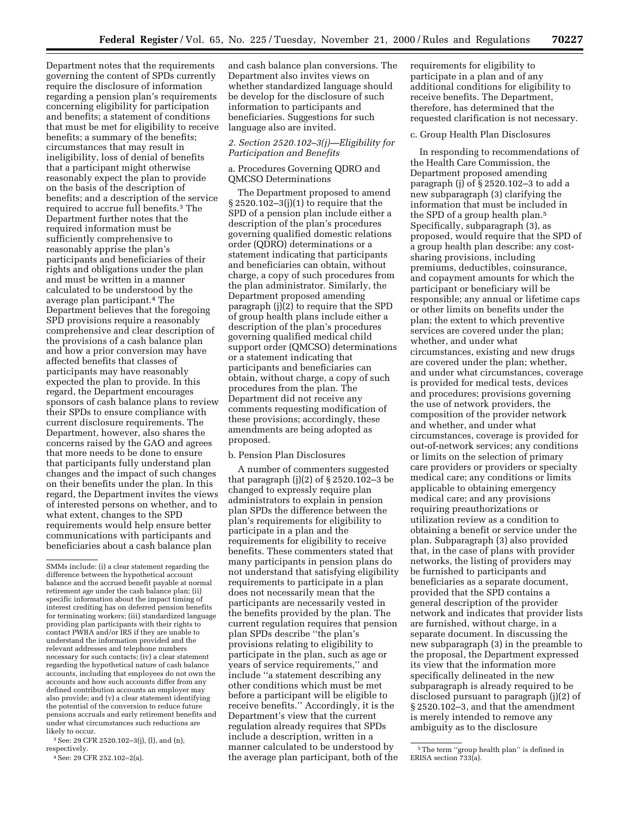Department notes that the requirements governing the content of SPDs currently require the disclosure of information regarding a pension plan's requirements concerning eligibility for participation and benefits; a statement of conditions that must be met for eligibility to receive benefits; a summary of the benefits; circumstances that may result in ineligibility, loss of denial of benefits that a participant might otherwise reasonably expect the plan to provide on the basis of the description of benefits; and a description of the service required to accrue full benefits.3 The Department further notes that the required information must be sufficiently comprehensive to reasonably apprise the plan's participants and beneficiaries of their rights and obligations under the plan and must be written in a manner calculated to be understood by the average plan participant.4 The Department believes that the foregoing SPD provisions require a reasonably comprehensive and clear description of the provisions of a cash balance plan and how a prior conversion may have affected benefits that classes of participants may have reasonably expected the plan to provide. In this regard, the Department encourages sponsors of cash balance plans to review their SPDs to ensure compliance with current disclosure requirements. The Department, however, also shares the concerns raised by the GAO and agrees that more needs to be done to ensure that participants fully understand plan changes and the impact of such changes on their benefits under the plan. In this regard, the Department invites the views of interested persons on whether, and to what extent, changes to the SPD requirements would help ensure better communications with participants and beneficiaries about a cash balance plan

3See: 29 CFR 2520.102–3(j), (l), and (n), respectively.

4See: 29 CFR 252.102–2(a).

and cash balance plan conversions. The Department also invites views on whether standardized language should be develop for the disclosure of such information to participants and beneficiaries. Suggestions for such language also are invited.

#### *2. Section 2520.102–3(j)—Eligibility for Participation and Benefits*

# a. Procedures Governing QDRO and QMCSO Determinations

The Department proposed to amend § 2520.102–3(j)(1) to require that the SPD of a pension plan include either a description of the plan's procedures governing qualified domestic relations order (QDRO) determinations or a statement indicating that participants and beneficiaries can obtain, without charge, a copy of such procedures from the plan administrator. Similarly, the Department proposed amending paragraph (j)(2) to require that the SPD of group health plans include either a description of the plan's procedures governing qualified medical child support order (QMCSO) determinations or a statement indicating that participants and beneficiaries can obtain, without charge, a copy of such procedures from the plan. The Department did not receive any comments requesting modification of these provisions; accordingly, these amendments are being adopted as proposed.

#### b. Pension Plan Disclosures

A number of commenters suggested that paragraph  $(j)(2)$  of  $\S 2520.102 - 3$  be changed to expressly require plan administrators to explain in pension plan SPDs the difference between the plan's requirements for eligibility to participate in a plan and the requirements for eligibility to receive benefits. These commenters stated that many participants in pension plans do not understand that satisfying eligibility requirements to participate in a plan does not necessarily mean that the participants are necessarily vested in the benefits provided by the plan. The current regulation requires that pension plan SPDs describe ''the plan's provisions relating to eligibility to participate in the plan, such as age or years of service requirements,'' and include ''a statement describing any other conditions which must be met before a participant will be eligible to receive benefits.'' Accordingly, it is the Department's view that the current regulation already requires that SPDs include a description, written in a manner calculated to be understood by the average plan participant, both of the

requirements for eligibility to participate in a plan and of any additional conditions for eligibility to receive benefits. The Department, therefore, has determined that the requested clarification is not necessary.

# c. Group Health Plan Disclosures

In responding to recommendations of the Health Care Commission, the Department proposed amending paragraph (j) of § 2520.102–3 to add a new subparagraph (3) clarifying the information that must be included in the SPD of a group health plan.5 Specifically, subparagraph (3), as proposed, would require that the SPD of a group health plan describe: any costsharing provisions, including premiums, deductibles, coinsurance, and copayment amounts for which the participant or beneficiary will be responsible; any annual or lifetime caps or other limits on benefits under the plan; the extent to which preventive services are covered under the plan; whether, and under what circumstances, existing and new drugs are covered under the plan; whether, and under what circumstances, coverage is provided for medical tests, devices and procedures; provisions governing the use of network providers, the composition of the provider network and whether, and under what circumstances, coverage is provided for out-of-network services; any conditions or limits on the selection of primary care providers or providers or specialty medical care; any conditions or limits applicable to obtaining emergency medical care; and any provisions requiring preauthorizations or utilization review as a condition to obtaining a benefit or service under the plan. Subparagraph (3) also provided that, in the case of plans with provider networks, the listing of providers may be furnished to participants and beneficiaries as a separate document, provided that the SPD contains a general description of the provider network and indicates that provider lists are furnished, without charge, in a separate document. In discussing the new subparagraph (3) in the preamble to the proposal, the Department expressed its view that the information more specifically delineated in the new subparagraph is already required to be disclosed pursuant to paragraph (j)(2) of § 2520.102–3, and that the amendment is merely intended to remove any ambiguity as to the disclosure

SMMs include: (i) a clear statement regarding the difference between the hypothetical account balance and the accrued benefit payable at normal retirement age under the cash balance plan; (ii) specific information about the impact timing of interest crediting has on deferred pension benefits for terminating workers; (iii) standardized language providing plan participants with their rights to contact PWBA and/or IRS if they are unable to understand the information provided and the relevant addresses and telephone numbers necessary for such contacts; (iv) a clear statement regarding the hypothetical nature of cash balance accounts, including that employees do not own the accounts and how such accounts differ from any defined contribution accounts an employer may also provide; and (v) a clear statement identifying the potential of the conversion to reduce future pensions accruals and early retirement benefits and under what circumstances such reductions are likely to occur.

<sup>5</sup>The term ''group health plan'' is defined in ERISA section 733(a).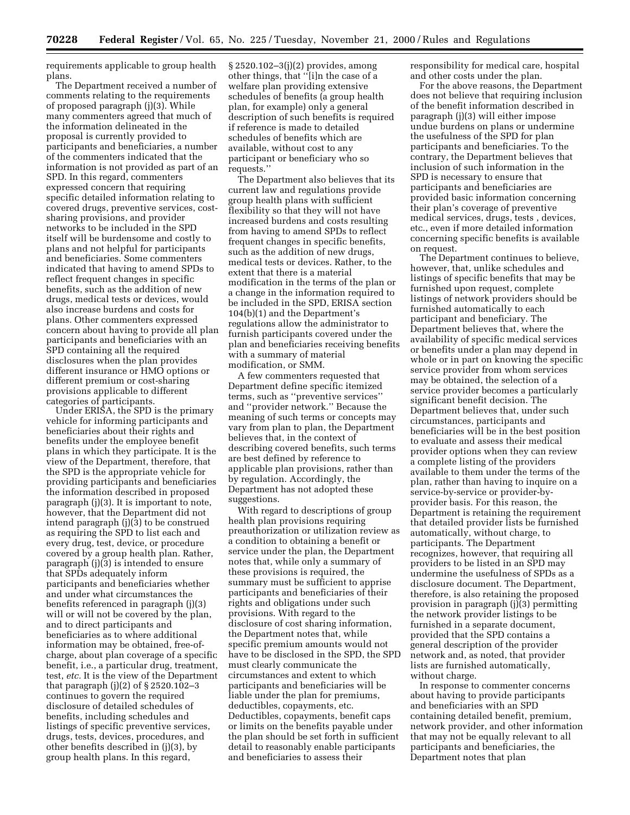requirements applicable to group health plans.

The Department received a number of comments relating to the requirements of proposed paragraph (j)(3). While many commenters agreed that much of the information delineated in the proposal is currently provided to participants and beneficiaries, a number of the commenters indicated that the information is not provided as part of an SPD. In this regard, commenters expressed concern that requiring specific detailed information relating to covered drugs, preventive services, costsharing provisions, and provider networks to be included in the SPD itself will be burdensome and costly to plans and not helpful for participants and beneficiaries. Some commenters indicated that having to amend SPDs to reflect frequent changes in specific benefits, such as the addition of new drugs, medical tests or devices, would also increase burdens and costs for plans. Other commenters expressed concern about having to provide all plan participants and beneficiaries with an SPD containing all the required disclosures when the plan provides different insurance or HMO options or different premium or cost-sharing provisions applicable to different categories of participants.

Under ERISA, the SPD is the primary vehicle for informing participants and beneficiaries about their rights and benefits under the employee benefit plans in which they participate. It is the view of the Department, therefore, that the SPD is the appropriate vehicle for providing participants and beneficiaries the information described in proposed paragraph (j)(3). It is important to note, however, that the Department did not intend paragraph (j)(3) to be construed as requiring the SPD to list each and every drug, test, device, or procedure covered by a group health plan. Rather, paragraph (j)(3) is intended to ensure that SPDs adequately inform participants and beneficiaries whether and under what circumstances the benefits referenced in paragraph (j)(3) will or will not be covered by the plan, and to direct participants and beneficiaries as to where additional information may be obtained, free-ofcharge, about plan coverage of a specific benefit, i.e., a particular drug, treatment, test, *etc.* It is the view of the Department that paragraph (j)(2) of § 2520.102–3 continues to govern the required disclosure of detailed schedules of benefits, including schedules and listings of specific preventive services, drugs, tests, devices, procedures, and other benefits described in (j)(3), by group health plans. In this regard,

§ 2520.102–3(j)(2) provides, among other things, that ''[i]n the case of a welfare plan providing extensive schedules of benefits (a group health plan, for example) only a general description of such benefits is required if reference is made to detailed schedules of benefits which are available, without cost to any participant or beneficiary who so requests.''

The Department also believes that its current law and regulations provide group health plans with sufficient flexibility so that they will not have increased burdens and costs resulting from having to amend SPDs to reflect frequent changes in specific benefits, such as the addition of new drugs, medical tests or devices. Rather, to the extent that there is a material modification in the terms of the plan or a change in the information required to be included in the SPD, ERISA section 104(b)(1) and the Department's regulations allow the administrator to furnish participants covered under the plan and beneficiaries receiving benefits with a summary of material modification, or SMM.

A few commenters requested that Department define specific itemized terms, such as ''preventive services'' and ''provider network.'' Because the meaning of such terms or concepts may vary from plan to plan, the Department believes that, in the context of describing covered benefits, such terms are best defined by reference to applicable plan provisions, rather than by regulation. Accordingly, the Department has not adopted these suggestions.

With regard to descriptions of group health plan provisions requiring preauthorization or utilization review as a condition to obtaining a benefit or service under the plan, the Department notes that, while only a summary of these provisions is required, the summary must be sufficient to apprise participants and beneficiaries of their rights and obligations under such provisions. With regard to the disclosure of cost sharing information, the Department notes that, while specific premium amounts would not have to be disclosed in the SPD, the SPD must clearly communicate the circumstances and extent to which participants and beneficiaries will be liable under the plan for premiums, deductibles, copayments, etc. Deductibles, copayments, benefit caps or limits on the benefits payable under the plan should be set forth in sufficient detail to reasonably enable participants and beneficiaries to assess their

responsibility for medical care, hospital and other costs under the plan.

For the above reasons, the Department does not believe that requiring inclusion of the benefit information described in paragraph (j)(3) will either impose undue burdens on plans or undermine the usefulness of the SPD for plan participants and beneficiaries. To the contrary, the Department believes that inclusion of such information in the SPD is necessary to ensure that participants and beneficiaries are provided basic information concerning their plan's coverage of preventive medical services, drugs, tests , devices, etc., even if more detailed information concerning specific benefits is available on request.

The Department continues to believe, however, that, unlike schedules and listings of specific benefits that may be furnished upon request, complete listings of network providers should be furnished automatically to each participant and beneficiary. The Department believes that, where the availability of specific medical services or benefits under a plan may depend in whole or in part on knowing the specific service provider from whom services may be obtained, the selection of a service provider becomes a particularly significant benefit decision. The Department believes that, under such circumstances, participants and beneficiaries will be in the best position to evaluate and assess their medical provider options when they can review a complete listing of the providers available to them under the terms of the plan, rather than having to inquire on a service-by-service or provider-byprovider basis. For this reason, the Department is retaining the requirement that detailed provider lists be furnished automatically, without charge, to participants. The Department recognizes, however, that requiring all providers to be listed in an SPD may undermine the usefulness of SPDs as a disclosure document. The Department, therefore, is also retaining the proposed provision in paragraph (j)(3) permitting the network provider listings to be furnished in a separate document, provided that the SPD contains a general description of the provider network and, as noted, that provider lists are furnished automatically, without charge.

In response to commenter concerns about having to provide participants and beneficiaries with an SPD containing detailed benefit, premium, network provider, and other information that may not be equally relevant to all participants and beneficiaries, the Department notes that plan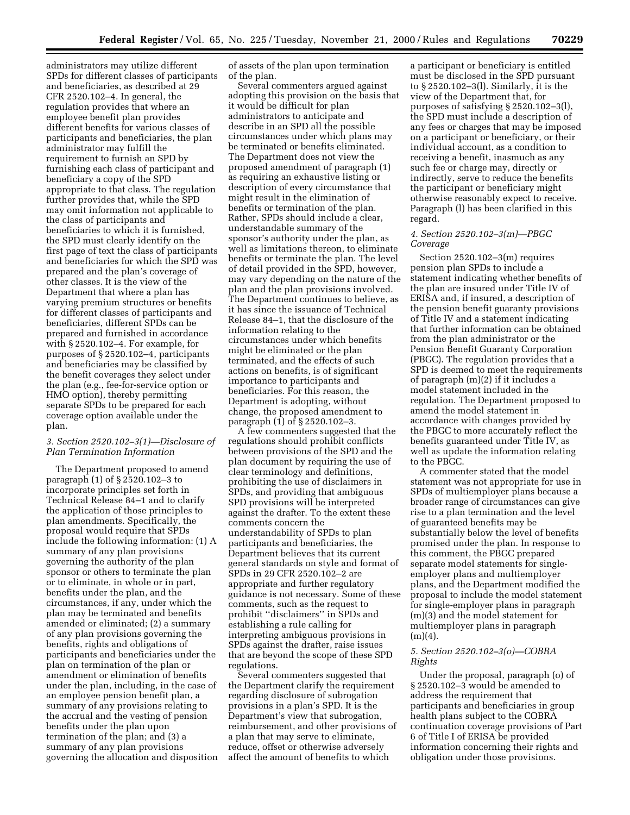administrators may utilize different SPDs for different classes of participants and beneficiaries, as described at 29 CFR 2520.102–4. In general, the regulation provides that where an employee benefit plan provides different benefits for various classes of participants and beneficiaries, the plan administrator may fulfill the requirement to furnish an SPD by furnishing each class of participant and beneficiary a copy of the SPD appropriate to that class. The regulation further provides that, while the SPD may omit information not applicable to the class of participants and beneficiaries to which it is furnished, the SPD must clearly identify on the first page of text the class of participants and beneficiaries for which the SPD was prepared and the plan's coverage of other classes. It is the view of the Department that where a plan has varying premium structures or benefits for different classes of participants and beneficiaries, different SPDs can be prepared and furnished in accordance with § 2520.102–4. For example, for purposes of § 2520.102–4, participants and beneficiaries may be classified by the benefit coverages they select under the plan (e.g., fee-for-service option or HMO option), thereby permitting separate SPDs to be prepared for each coverage option available under the plan.

#### *3. Section 2520.102–3(1)—Disclosure of Plan Termination Information*

The Department proposed to amend paragraph (1) of § 2520.102–3 to incorporate principles set forth in Technical Release 84–1 and to clarify the application of those principles to plan amendments. Specifically, the proposal would require that SPDs include the following information: (1) A summary of any plan provisions governing the authority of the plan sponsor or others to terminate the plan or to eliminate, in whole or in part, benefits under the plan, and the circumstances, if any, under which the plan may be terminated and benefits amended or eliminated; (2) a summary of any plan provisions governing the benefits, rights and obligations of participants and beneficiaries under the plan on termination of the plan or amendment or elimination of benefits under the plan, including, in the case of an employee pension benefit plan, a summary of any provisions relating to the accrual and the vesting of pension benefits under the plan upon termination of the plan; and (3) a summary of any plan provisions governing the allocation and disposition of assets of the plan upon termination of the plan.

Several commenters argued against adopting this provision on the basis that it would be difficult for plan administrators to anticipate and describe in an SPD all the possible circumstances under which plans may be terminated or benefits eliminated. The Department does not view the proposed amendment of paragraph (1) as requiring an exhaustive listing or description of every circumstance that might result in the elimination of benefits or termination of the plan. Rather, SPDs should include a clear, understandable summary of the sponsor's authority under the plan, as well as limitations thereon, to eliminate benefits or terminate the plan. The level of detail provided in the SPD, however, may vary depending on the nature of the plan and the plan provisions involved. The Department continues to believe, as it has since the issuance of Technical Release 84–1, that the disclosure of the information relating to the circumstances under which benefits might be eliminated or the plan terminated, and the effects of such actions on benefits, is of significant importance to participants and beneficiaries. For this reason, the Department is adopting, without change, the proposed amendment to paragraph (1) of § 2520.102–3.

A few commenters suggested that the regulations should prohibit conflicts between provisions of the SPD and the plan document by requiring the use of clear terminology and definitions, prohibiting the use of disclaimers in SPDs, and providing that ambiguous SPD provisions will be interpreted against the drafter. To the extent these comments concern the understandability of SPDs to plan participants and beneficiaries, the Department believes that its current general standards on style and format of SPDs in 29 CFR 2520.102–2 are appropriate and further regulatory guidance is not necessary. Some of these comments, such as the request to prohibit ''disclaimers'' in SPDs and establishing a rule calling for interpreting ambiguous provisions in SPDs against the drafter, raise issues that are beyond the scope of these SPD regulations.

Several commenters suggested that the Department clarify the requirement regarding disclosure of subrogation provisions in a plan's SPD. It is the Department's view that subrogation, reimbursement, and other provisions of a plan that may serve to eliminate, reduce, offset or otherwise adversely affect the amount of benefits to which

a participant or beneficiary is entitled must be disclosed in the SPD pursuant to § 2520.102–3(l). Similarly, it is the view of the Department that, for purposes of satisfying § 2520.102–3(l), the SPD must include a description of any fees or charges that may be imposed on a participant or beneficiary, or their individual account, as a condition to receiving a benefit, inasmuch as any such fee or charge may, directly or indirectly, serve to reduce the benefits the participant or beneficiary might otherwise reasonably expect to receive. Paragraph (l) has been clarified in this regard.

#### *4. Section 2520.102–3(m)—PBGC Coverage*

Section 2520.102–3(m) requires pension plan SPDs to include a statement indicating whether benefits of the plan are insured under Title IV of ERISA and, if insured, a description of the pension benefit guaranty provisions of Title IV and a statement indicating that further information can be obtained from the plan administrator or the Pension Benefit Guaranty Corporation (PBGC). The regulation provides that a SPD is deemed to meet the requirements of paragraph (m)(2) if it includes a model statement included in the regulation. The Department proposed to amend the model statement in accordance with changes provided by the PBGC to more accurately reflect the benefits guaranteed under Title IV, as well as update the information relating to the PBGC.

A commenter stated that the model statement was not appropriate for use in SPDs of multiemployer plans because a broader range of circumstances can give rise to a plan termination and the level of guaranteed benefits may be substantially below the level of benefits promised under the plan. In response to this comment, the PBGC prepared separate model statements for singleemployer plans and multiemployer plans, and the Department modified the proposal to include the model statement for single-employer plans in paragraph (m)(3) and the model statement for multiemployer plans in paragraph  $(m)(4)$ .

# *5. Section 2520.102–3(o)—COBRA Rights*

Under the proposal, paragraph (o) of § 2520.102–3 would be amended to address the requirement that participants and beneficiaries in group health plans subject to the COBRA continuation coverage provisions of Part 6 of Title I of ERISA be provided information concerning their rights and obligation under those provisions.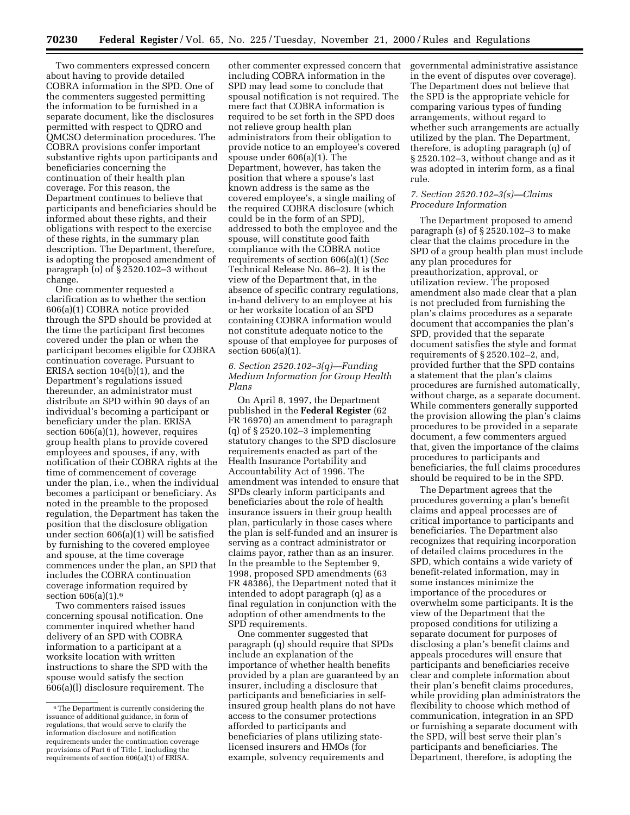Two commenters expressed concern about having to provide detailed COBRA information in the SPD. One of the commenters suggested permitting the information to be furnished in a separate document, like the disclosures permitted with respect to QDRO and QMCSO determination procedures. The COBRA provisions confer important substantive rights upon participants and beneficiaries concerning the continuation of their health plan coverage. For this reason, the Department continues to believe that participants and beneficiaries should be informed about these rights, and their obligations with respect to the exercise of these rights, in the summary plan description. The Department, therefore, is adopting the proposed amendment of paragraph (o) of § 2520.102–3 without change.

One commenter requested a clarification as to whether the section 606(a)(1) COBRA notice provided through the SPD should be provided at the time the participant first becomes covered under the plan or when the participant becomes eligible for COBRA continuation coverage. Pursuant to ERISA section 104(b)(1), and the Department's regulations issued thereunder, an administrator must distribute an SPD within 90 days of an individual's becoming a participant or beneficiary under the plan. ERISA section 606(a)(1), however, requires group health plans to provide covered employees and spouses, if any, with notification of their COBRA rights at the time of commencement of coverage under the plan, i.e., when the individual becomes a participant or beneficiary. As noted in the preamble to the proposed regulation, the Department has taken the position that the disclosure obligation under section 606(a)(1) will be satisfied by furnishing to the covered employee and spouse, at the time coverage commences under the plan, an SPD that includes the COBRA continuation coverage information required by section 606(a)(1).6

Two commenters raised issues concerning spousal notification. One commenter inquired whether hand delivery of an SPD with COBRA information to a participant at a worksite location with written instructions to share the SPD with the spouse would satisfy the section 606(a)(l) disclosure requirement. The

other commenter expressed concern that including COBRA information in the SPD may lead some to conclude that spousal notification is not required. The mere fact that COBRA information is required to be set forth in the SPD does not relieve group health plan administrators from their obligation to provide notice to an employee's covered spouse under 606(a)(1). The Department, however, has taken the position that where a spouse's last known address is the same as the covered employee's, a single mailing of the required COBRA disclosure (which could be in the form of an SPD), addressed to both the employee and the spouse, will constitute good faith compliance with the COBRA notice requirements of section 606(a)(1) (*See* Technical Release No. 86–2). It is the view of the Department that, in the absence of specific contrary regulations, in-hand delivery to an employee at his or her worksite location of an SPD containing COBRA information would not constitute adequate notice to the spouse of that employee for purposes of section 606(a)(1).

# *6. Section 2520.102–3(q)—Funding Medium Information for Group Health Plans*

On April 8, 1997, the Department published in the **Federal Register** (62 FR 16970) an amendment to paragraph (q) of § 2520.102–3 implementing statutory changes to the SPD disclosure requirements enacted as part of the Health Insurance Portability and Accountability Act of 1996. The amendment was intended to ensure that SPDs clearly inform participants and beneficiaries about the role of health insurance issuers in their group health plan, particularly in those cases where the plan is self-funded and an insurer is serving as a contract administrator or claims payor, rather than as an insurer. In the preamble to the September 9, 1998, proposed SPD amendments (63 FR 48386), the Department noted that it intended to adopt paragraph (q) as a final regulation in conjunction with the adoption of other amendments to the SPD requirements.

One commenter suggested that paragraph (q) should require that SPDs include an explanation of the importance of whether health benefits provided by a plan are guaranteed by an insurer, including a disclosure that participants and beneficiaries in selfinsured group health plans do not have access to the consumer protections afforded to participants and beneficiaries of plans utilizing statelicensed insurers and HMOs (for example, solvency requirements and

governmental administrative assistance in the event of disputes over coverage). The Department does not believe that the SPD is the appropriate vehicle for comparing various types of funding arrangements, without regard to whether such arrangements are actually utilized by the plan. The Department, therefore, is adopting paragraph (q) of § 2520.102–3, without change and as it was adopted in interim form, as a final rule.

#### *7. Section 2520.102–3(s)—Claims Procedure Information*

The Department proposed to amend paragraph (s) of § 2520.102–3 to make clear that the claims procedure in the SPD of a group health plan must include any plan procedures for preauthorization, approval, or utilization review. The proposed amendment also made clear that a plan is not precluded from furnishing the plan's claims procedures as a separate document that accompanies the plan's SPD, provided that the separate document satisfies the style and format requirements of § 2520.102–2, and, provided further that the SPD contains a statement that the plan's claims procedures are furnished automatically, without charge, as a separate document. While commenters generally supported the provision allowing the plan's claims procedures to be provided in a separate document, a few commenters argued that, given the importance of the claims procedures to participants and beneficiaries, the full claims procedures should be required to be in the SPD.

The Department agrees that the procedures governing a plan's benefit claims and appeal processes are of critical importance to participants and beneficiaries. The Department also recognizes that requiring incorporation of detailed claims procedures in the SPD, which contains a wide variety of benefit-related information, may in some instances minimize the importance of the procedures or overwhelm some participants. It is the view of the Department that the proposed conditions for utilizing a separate document for purposes of disclosing a plan's benefit claims and appeals procedures will ensure that participants and beneficiaries receive clear and complete information about their plan's benefit claims procedures, while providing plan administrators the flexibility to choose which method of communication, integration in an SPD or furnishing a separate document with the SPD, will best serve their plan's participants and beneficiaries. The Department, therefore, is adopting the

<sup>6</sup>The Department is currently considering the issuance of additional guidance, in form of regulations, that would serve to clarify the information disclosure and notification requirements under the continuation coverage provisions of Part 6 of Title I, including the requirements of section 606(a)(1) of ERISA.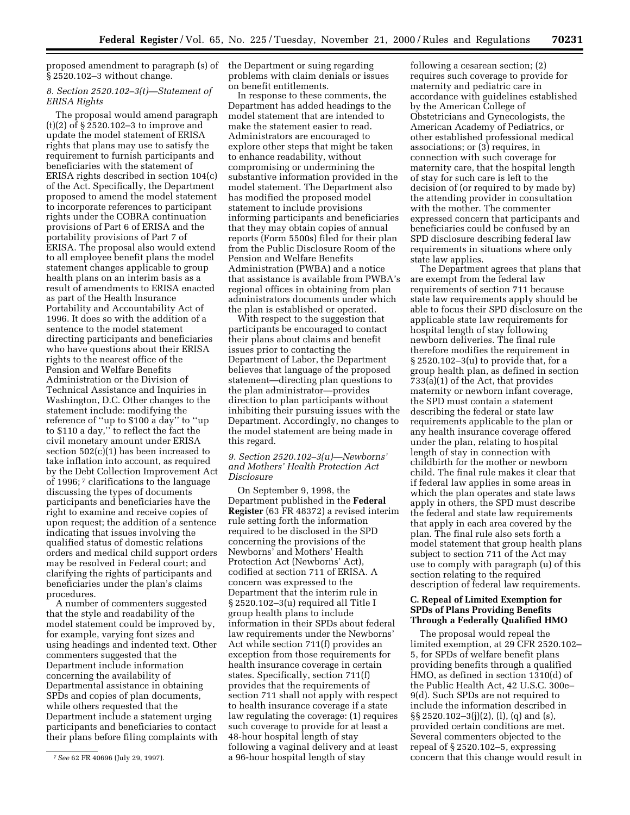proposed amendment to paragraph (s) of the Department or suing regarding § 2520.102–3 without change.

# *8. Section 2520.102–3(t)—Statement of ERISA Rights*

The proposal would amend paragraph (t)(2) of § 2520.102–3 to improve and update the model statement of ERISA rights that plans may use to satisfy the requirement to furnish participants and beneficiaries with the statement of ERISA rights described in section 104(c) of the Act. Specifically, the Department proposed to amend the model statement to incorporate references to participant rights under the COBRA continuation provisions of Part 6 of ERISA and the portability provisions of Part 7 of ERISA. The proposal also would extend to all employee benefit plans the model statement changes applicable to group health plans on an interim basis as a result of amendments to ERISA enacted as part of the Health Insurance Portability and Accountability Act of 1996. It does so with the addition of a sentence to the model statement directing participants and beneficiaries who have questions about their ERISA rights to the nearest office of the Pension and Welfare Benefits Administration or the Division of Technical Assistance and Inquiries in Washington, D.C. Other changes to the statement include: modifying the reference of ''up to \$100 a day'' to ''up to \$110 a day,'' to reflect the fact the civil monetary amount under ERISA section  $502(c)(1)$  has been increased to take inflation into account, as required by the Debt Collection Improvement Act of 1996; 7 clarifications to the language discussing the types of documents participants and beneficiaries have the right to examine and receive copies of upon request; the addition of a sentence indicating that issues involving the qualified status of domestic relations orders and medical child support orders may be resolved in Federal court; and clarifying the rights of participants and beneficiaries under the plan's claims procedures.

A number of commenters suggested that the style and readability of the model statement could be improved by, for example, varying font sizes and using headings and indented text. Other commenters suggested that the Department include information concerning the availability of Departmental assistance in obtaining SPDs and copies of plan documents, while others requested that the Department include a statement urging participants and beneficiaries to contact their plans before filing complaints with problems with claim denials or issues on benefit entitlements.

In response to these comments, the Department has added headings to the model statement that are intended to make the statement easier to read. Administrators are encouraged to explore other steps that might be taken to enhance readability, without compromising or undermining the substantive information provided in the model statement. The Department also has modified the proposed model statement to include provisions informing participants and beneficiaries that they may obtain copies of annual reports (Form 5500s) filed for their plan from the Public Disclosure Room of the Pension and Welfare Benefits Administration (PWBA) and a notice that assistance is available from PWBA's regional offices in obtaining from plan administrators documents under which the plan is established or operated.

With respect to the suggestion that participants be encouraged to contact their plans about claims and benefit issues prior to contacting the Department of Labor, the Department believes that language of the proposed statement—directing plan questions to the plan administrator—provides direction to plan participants without inhibiting their pursuing issues with the Department. Accordingly, no changes to the model statement are being made in this regard.

# *9. Section 2520.102–3(u)—Newborns' and Mothers' Health Protection Act Disclosure*

On September 9, 1998, the Department published in the **Federal Register** (63 FR 48372) a revised interim rule setting forth the information required to be disclosed in the SPD concerning the provisions of the Newborns' and Mothers' Health Protection Act (Newborns' Act), codified at section 711 of ERISA. A concern was expressed to the Department that the interim rule in § 2520.102–3(u) required all Title I group health plans to include information in their SPDs about federal law requirements under the Newborns' Act while section 711(f) provides an exception from those requirements for health insurance coverage in certain states. Specifically, section 711(f) provides that the requirements of section 711 shall not apply with respect to health insurance coverage if a state law regulating the coverage: (1) requires such coverage to provide for at least a 48-hour hospital length of stay following a vaginal delivery and at least a 96-hour hospital length of stay

following a cesarean section; (2) requires such coverage to provide for maternity and pediatric care in accordance with guidelines established by the American College of Obstetricians and Gynecologists, the American Academy of Pediatrics, or other established professional medical associations; or (3) requires, in connection with such coverage for maternity care, that the hospital length of stay for such care is left to the decision of (or required to by made by) the attending provider in consultation with the mother. The commenter expressed concern that participants and beneficiaries could be confused by an SPD disclosure describing federal law requirements in situations where only state law applies.

The Department agrees that plans that are exempt from the federal law requirements of section 711 because state law requirements apply should be able to focus their SPD disclosure on the applicable state law requirements for hospital length of stay following newborn deliveries. The final rule therefore modifies the requirement in § 2520.102–3(u) to provide that, for a group health plan, as defined in section 733(a)(1) of the Act, that provides maternity or newborn infant coverage, the SPD must contain a statement describing the federal or state law requirements applicable to the plan or any health insurance coverage offered under the plan, relating to hospital length of stay in connection with childbirth for the mother or newborn child. The final rule makes it clear that if federal law applies in some areas in which the plan operates and state laws apply in others, the SPD must describe the federal and state law requirements that apply in each area covered by the plan. The final rule also sets forth a model statement that group health plans subject to section 711 of the Act may use to comply with paragraph (u) of this section relating to the required description of federal law requirements.

# **C. Repeal of Limited Exemption for SPDs of Plans Providing Benefits Through a Federally Qualified HMO**

The proposal would repeal the limited exemption, at 29 CFR 2520.102– 5, for SPDs of welfare benefit plans providing benefits through a qualified HMO, as defined in section 1310(d) of the Public Health Act, 42 U.S.C. 300e– 9(d). Such SPDs are not required to include the information described in §§ 2520.102–3(j)(2), (l), (q) and (s), provided certain conditions are met. Several commenters objected to the repeal of § 2520.102–5, expressing concern that this change would result in

<sup>7</sup>*See* 62 FR 40696 (July 29, 1997).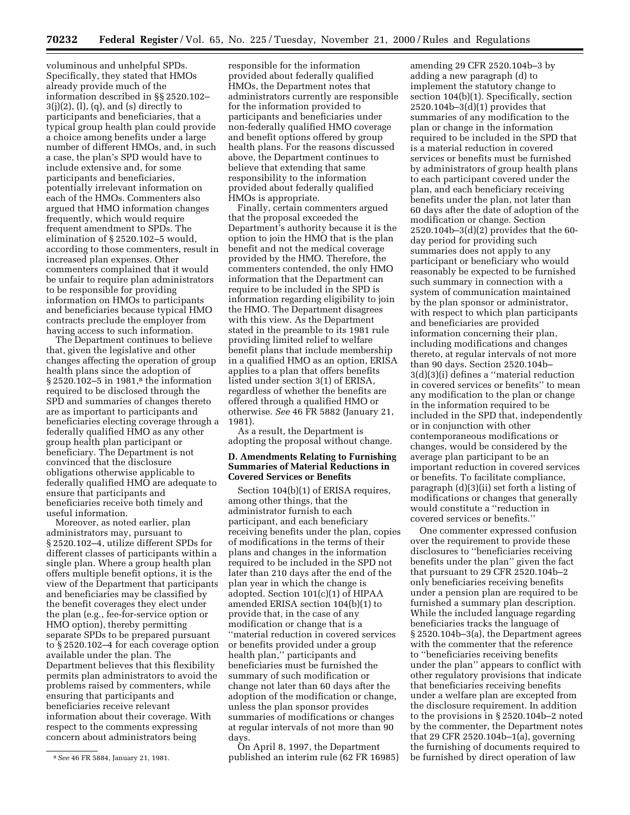voluminous and unhelpful SPDs. Specifically, they stated that HMOs already provide much of the information described in §§ 2520.102–  $3(j)(2)$ ,  $(l)$ ,  $(q)$ , and  $(s)$  directly to participants and beneficiaries, that a typical group health plan could provide a choice among benefits under a large number of different HMOs, and, in such a case, the plan's SPD would have to include extensive and, for some participants and beneficiaries, potentially irrelevant information on each of the HMOs. Commenters also argued that HMO information changes frequently, which would require frequent amendment to SPDs. The elimination of § 2520.102–5 would, according to those commenters, result in increased plan expenses. Other commenters complained that it would be unfair to require plan administrators to be responsible for providing information on HMOs to participants and beneficiaries because typical HMO contracts preclude the employer from having access to such information.

The Department continues to believe that, given the legislative and other changes affecting the operation of group health plans since the adoption of § 2520.102-5 in 1981,<sup>8</sup> the information required to be disclosed through the SPD and summaries of changes thereto are as important to participants and beneficiaries electing coverage through a federally qualified HMO as any other group health plan participant or beneficiary. The Department is not convinced that the disclosure obligations otherwise applicable to federally qualified HMO are adequate to ensure that participants and beneficiaries receive both timely and useful information.

Moreover, as noted earlier, plan administrators may, pursuant to § 2520.102–4, utilize different SPDs for different classes of participants within a single plan. Where a group health plan offers multiple benefit options, it is the view of the Department that participants and beneficiaries may be classified by the benefit coverages they elect under the plan (e.g., fee-for-service option or HMO option), thereby permitting separate SPDs to be prepared pursuant to § 2520.102–4 for each coverage option available under the plan. The Department believes that this flexibility permits plan administrators to avoid the problems raised by commenters, while ensuring that participants and beneficiaries receive relevant information about their coverage. With respect to the comments expressing concern about administrators being

responsible for the information provided about federally qualified HMOs, the Department notes that administrators currently are responsible for the information provided to participants and beneficiaries under non-federally qualified HMO coverage and benefit options offered by group health plans. For the reasons discussed above, the Department continues to believe that extending that same responsibility to the information provided about federally qualified HMOs is appropriate.

Finally, certain commenters argued that the proposal exceeded the Department's authority because it is the option to join the HMO that is the plan benefit and not the medical coverage provided by the HMO. Therefore, the commenters contended, the only HMO information that the Department can require to be included in the SPD is information regarding eligibility to join the HMO. The Department disagrees with this view. As the Department stated in the preamble to its 1981 rule providing limited relief to welfare benefit plans that include membership in a qualified HMO as an option, ERISA applies to a plan that offers benefits listed under section 3(1) of ERISA, regardless of whether the benefits are offered through a qualified HMO or otherwise. *See* 46 FR 5882 (January 21, 1981).

As a result, the Department is adopting the proposal without change.

#### **D. Amendments Relating to Furnishing Summaries of Material Reductions in Covered Services or Benefits**

Section 104(b)(1) of ERISA requires, among other things, that the administrator furnish to each participant, and each beneficiary receiving benefits under the plan, copies of modifications in the terms of their plans and changes in the information required to be included in the SPD not later than 210 days after the end of the plan year in which the change is adopted. Section 101(c)(1) of HIPAA amended ERISA section 104(b)(1) to provide that, in the case of any modification or change that is a ''material reduction in covered services or benefits provided under a group health plan,'' participants and beneficiaries must be furnished the summary of such modification or change not later than 60 days after the adoption of the modification or change, unless the plan sponsor provides summaries of modifications or changes at regular intervals of not more than 90 days.

On April 8, 1997, the Department published an interim rule (62 FR 16985) amending 29 CFR 2520.104b–3 by adding a new paragraph (d) to implement the statutory change to section 104(b)(1). Specifically, section 2520.104b–3(d)(1) provides that summaries of any modification to the plan or change in the information required to be included in the SPD that is a material reduction in covered services or benefits must be furnished by administrators of group health plans to each participant covered under the plan, and each beneficiary receiving benefits under the plan, not later than 60 days after the date of adoption of the modification or change. Section 2520.104b–3(d)(2) provides that the 60 day period for providing such summaries does not apply to any participant or beneficiary who would reasonably be expected to be furnished such summary in connection with a system of communication maintained by the plan sponsor or administrator, with respect to which plan participants and beneficiaries are provided information concerning their plan, including modifications and changes thereto, at regular intervals of not more than 90 days. Section 2520.104b– 3(d)(3)(i) defines a ''material reduction in covered services or benefits'' to mean any modification to the plan or change in the information required to be included in the SPD that, independently or in conjunction with other contemporaneous modifications or changes, would be considered by the average plan participant to be an important reduction in covered services or benefits. To facilitate compliance, paragraph (d)(3)(ii) set forth a listing of modifications or changes that generally would constitute a ''reduction in covered services or benefits.''

One commenter expressed confusion over the requirement to provide these disclosures to ''beneficiaries receiving benefits under the plan'' given the fact that pursuant to 29 CFR 2520.104b–2 only beneficiaries receiving benefits under a pension plan are required to be furnished a summary plan description. While the included language regarding beneficiaries tracks the language of § 2520.104b–3(a), the Department agrees with the commenter that the reference to ''beneficiaries receiving benefits under the plan'' appears to conflict with other regulatory provisions that indicate that beneficiaries receiving benefits under a welfare plan are excepted from the disclosure requirement. In addition to the provisions in § 2520.104b–2 noted by the commenter, the Department notes that 29 CFR 2520.104b–1(a), governing the furnishing of documents required to be furnished by direct operation of law

<sup>8</sup>*See* 46 FR 5884, January 21, 1981.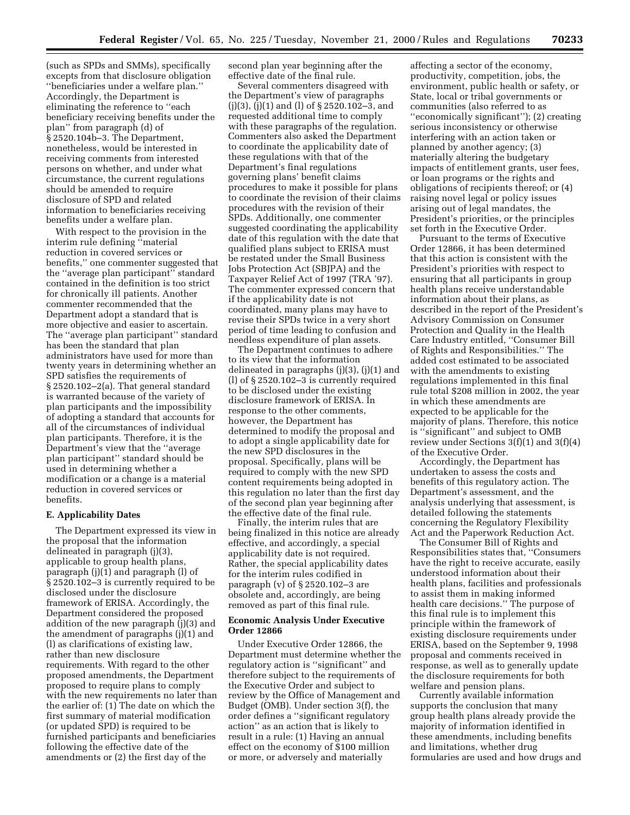(such as SPDs and SMMs), specifically excepts from that disclosure obligation ''beneficiaries under a welfare plan.'' Accordingly, the Department is eliminating the reference to ''each beneficiary receiving benefits under the plan'' from paragraph (d) of § 2520.104b–3. The Department, nonetheless, would be interested in receiving comments from interested persons on whether, and under what circumstance, the current regulations should be amended to require disclosure of SPD and related information to beneficiaries receiving benefits under a welfare plan.

With respect to the provision in the interim rule defining ''material reduction in covered services or benefits,'' one commenter suggested that the ''average plan participant'' standard contained in the definition is too strict for chronically ill patients. Another commenter recommended that the Department adopt a standard that is more objective and easier to ascertain. The ''average plan participant'' standard has been the standard that plan administrators have used for more than twenty years in determining whether an SPD satisfies the requirements of § 2520.102–2(a). That general standard is warranted because of the variety of plan participants and the impossibility of adopting a standard that accounts for all of the circumstances of individual plan participants. Therefore, it is the Department's view that the ''average plan participant'' standard should be used in determining whether a modification or a change is a material reduction in covered services or benefits.

## **E. Applicability Dates**

The Department expressed its view in the proposal that the information delineated in paragraph (j)(3), applicable to group health plans, paragraph (j)(1) and paragraph (l) of § 2520.102–3 is currently required to be disclosed under the disclosure framework of ERISA. Accordingly, the Department considered the proposed addition of the new paragraph (j)(3) and the amendment of paragraphs (j)(1) and (l) as clarifications of existing law, rather than new disclosure requirements. With regard to the other proposed amendments, the Department proposed to require plans to comply with the new requirements no later than the earlier of: (1) The date on which the first summary of material modification (or updated SPD) is required to be furnished participants and beneficiaries following the effective date of the amendments or (2) the first day of the

second plan year beginning after the effective date of the final rule.

Several commenters disagreed with the Department's view of paragraphs (j)(3), (j)(1) and (l) of  $\S 2520.102-3$ , and requested additional time to comply with these paragraphs of the regulation. Commenters also asked the Department to coordinate the applicability date of these regulations with that of the Department's final regulations governing plans' benefit claims procedures to make it possible for plans to coordinate the revision of their claims procedures with the revision of their SPDs. Additionally, one commenter suggested coordinating the applicability date of this regulation with the date that qualified plans subject to ERISA must be restated under the Small Business Jobs Protection Act (SBJPA) and the Taxpayer Relief Act of 1997 (TRA '97). The commenter expressed concern that if the applicability date is not coordinated, many plans may have to revise their SPDs twice in a very short period of time leading to confusion and needless expenditure of plan assets.

The Department continues to adhere to its view that the information delineated in paragraphs (j)(3), (j)(1) and (l) of § 2520.102–3 is currently required to be disclosed under the existing disclosure framework of ERISA. In response to the other comments, however, the Department has determined to modify the proposal and to adopt a single applicability date for the new SPD disclosures in the proposal. Specifically, plans will be required to comply with the new SPD content requirements being adopted in this regulation no later than the first day of the second plan year beginning after the effective date of the final rule.

Finally, the interim rules that are being finalized in this notice are already effective, and accordingly, a special applicability date is not required. Rather, the special applicability dates for the interim rules codified in paragraph (v) of § 2520.102–3 are obsolete and, accordingly, are being removed as part of this final rule.

#### **Economic Analysis Under Executive Order 12866**

Under Executive Order 12866, the Department must determine whether the regulatory action is ''significant'' and therefore subject to the requirements of the Executive Order and subject to review by the Office of Management and Budget (OMB). Under section 3(f), the order defines a ''significant regulatory action'' as an action that is likely to result in a rule: (1) Having an annual effect on the economy of \$100 million or more, or adversely and materially

affecting a sector of the economy, productivity, competition, jobs, the environment, public health or safety, or State, local or tribal governments or communities (also referred to as ''economically significant''); (2) creating serious inconsistency or otherwise interfering with an action taken or planned by another agency; (3) materially altering the budgetary impacts of entitlement grants, user fees, or loan programs or the rights and obligations of recipients thereof; or (4) raising novel legal or policy issues arising out of legal mandates, the President's priorities, or the principles set forth in the Executive Order.

Pursuant to the terms of Executive Order 12866, it has been determined that this action is consistent with the President's priorities with respect to ensuring that all participants in group health plans receive understandable information about their plans, as described in the report of the President's Advisory Commission on Consumer Protection and Quality in the Health Care Industry entitled, ''Consumer Bill of Rights and Responsibilities.'' The added cost estimated to be associated with the amendments to existing regulations implemented in this final rule total \$208 million in 2002, the year in which these amendments are expected to be applicable for the majority of plans. Therefore, this notice is ''significant'' and subject to OMB review under Sections  $3(f)(1)$  and  $3(f)(4)$ of the Executive Order.

Accordingly, the Department has undertaken to assess the costs and benefits of this regulatory action. The Department's assessment, and the analysis underlying that assessment, is detailed following the statements concerning the Regulatory Flexibility Act and the Paperwork Reduction Act.

The Consumer Bill of Rights and Responsibilities states that, ''Consumers have the right to receive accurate, easily understood information about their health plans, facilities and professionals to assist them in making informed health care decisions.'' The purpose of this final rule is to implement this principle within the framework of existing disclosure requirements under ERISA, based on the September 9, 1998 proposal and comments received in response, as well as to generally update the disclosure requirements for both welfare and pension plans.

Currently available information supports the conclusion that many group health plans already provide the majority of information identified in these amendments, including benefits and limitations, whether drug formularies are used and how drugs and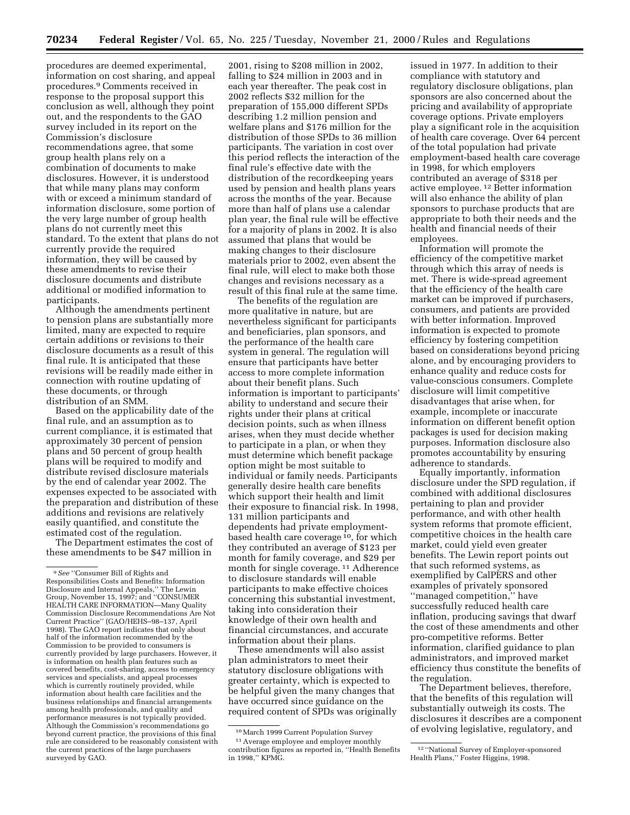procedures are deemed experimental, information on cost sharing, and appeal procedures.9 Comments received in response to the proposal support this conclusion as well, although they point out, and the respondents to the GAO survey included in its report on the Commission's disclosure recommendations agree, that some group health plans rely on a combination of documents to make disclosures. However, it is understood that while many plans may conform with or exceed a minimum standard of information disclosure, some portion of the very large number of group health plans do not currently meet this standard. To the extent that plans do not currently provide the required information, they will be caused by these amendments to revise their disclosure documents and distribute additional or modified information to participants.

Although the amendments pertinent to pension plans are substantially more limited, many are expected to require certain additions or revisions to their disclosure documents as a result of this final rule. It is anticipated that these revisions will be readily made either in connection with routine updating of these documents, or through distribution of an SMM.

Based on the applicability date of the final rule, and an assumption as to current compliance, it is estimated that approximately 30 percent of pension plans and 50 percent of group health plans will be required to modify and distribute revised disclosure materials by the end of calendar year 2002. The expenses expected to be associated with the preparation and distribution of these additions and revisions are relatively easily quantified, and constitute the estimated cost of the regulation.

The Department estimates the cost of these amendments to be \$47 million in

2001, rising to \$208 million in 2002, falling to \$24 million in 2003 and in each year thereafter. The peak cost in 2002 reflects \$32 million for the preparation of 155,000 different SPDs describing 1.2 million pension and welfare plans and \$176 million for the distribution of those SPDs to 36 million participants. The variation in cost over this period reflects the interaction of the final rule's effective date with the distribution of the recordkeeping years used by pension and health plans years across the months of the year. Because more than half of plans use a calendar plan year, the final rule will be effective for a majority of plans in 2002. It is also assumed that plans that would be making changes to their disclosure materials prior to 2002, even absent the final rule, will elect to make both those changes and revisions necessary as a result of this final rule at the same time.

The benefits of the regulation are more qualitative in nature, but are nevertheless significant for participants and beneficiaries, plan sponsors, and the performance of the health care system in general. The regulation will ensure that participants have better access to more complete information about their benefit plans. Such information is important to participants' ability to understand and secure their rights under their plans at critical decision points, such as when illness arises, when they must decide whether to participate in a plan, or when they must determine which benefit package option might be most suitable to individual or family needs. Participants generally desire health care benefits which support their health and limit their exposure to financial risk. In 1998, 131 million participants and dependents had private employmentbased health care coverage 10, for which they contributed an average of \$123 per month for family coverage, and \$29 per month for single coverage.<sup>11</sup> Adherence to disclosure standards will enable participants to make effective choices concerning this substantial investment, taking into consideration their knowledge of their own health and financial circumstances, and accurate information about their plans.

These amendments will also assist plan administrators to meet their statutory disclosure obligations with greater certainty, which is expected to be helpful given the many changes that have occurred since guidance on the required content of SPDs was originally

issued in 1977. In addition to their compliance with statutory and regulatory disclosure obligations, plan sponsors are also concerned about the pricing and availability of appropriate coverage options. Private employers play a significant role in the acquisition of health care coverage. Over 64 percent of the total population had private employment-based health care coverage in 1998, for which employers contributed an average of \$318 per active employee. 12 Better information will also enhance the ability of plan sponsors to purchase products that are appropriate to both their needs and the health and financial needs of their employees.

Information will promote the efficiency of the competitive market through which this array of needs is met. There is wide-spread agreement that the efficiency of the health care market can be improved if purchasers, consumers, and patients are provided with better information. Improved information is expected to promote efficiency by fostering competition based on considerations beyond pricing alone, and by encouraging providers to enhance quality and reduce costs for value-conscious consumers. Complete disclosure will limit competitive disadvantages that arise when, for example, incomplete or inaccurate information on different benefit option packages is used for decision making purposes. Information disclosure also promotes accountability by ensuring adherence to standards.

Equally importantly, information disclosure under the SPD regulation, if combined with additional disclosures pertaining to plan and provider performance, and with other health system reforms that promote efficient, competitive choices in the health care market, could yield even greater benefits. The Lewin report points out that such reformed systems, as exemplified by CalPERS and other examples of privately sponsored ''managed competition,'' have successfully reduced health care inflation, producing savings that dwarf the cost of these amendments and other pro-competitive reforms. Better information, clarified guidance to plan administrators, and improved market efficiency thus constitute the benefits of the regulation.

The Department believes, therefore, that the benefits of this regulation will substantially outweigh its costs. The disclosures it describes are a component of evolving legislative, regulatory, and

<sup>9</sup>*See* ''Consumer Bill of Rights and Responsibilities Costs and Benefits: Information Disclosure and Internal Appeals,'' The Lewin Group, November 15, 1997; and ''CONSUMER HEALTH CARE INFORMATION—Many Quality Commission Disclosure Recommendations Are Not Current Practice'' (GAO/HEHS–98–137, April 1998). The GAO report indicates that only about half of the information recommended by the Commission to be provided to consumers is currently provided by large purchasers. However, it is information on health plan features such as covered benefits, cost-sharing, access to emergency services and specialists, and appeal processes which is currently routinely provided, while information about health care facilities and the business relationships and financial arrangements among health professionals, and quality and performance measures is not typically provided. Although the Commission's recommendations go beyond current practice, the provisions of this final rule are considered to be reasonably consistent with the current practices of the large purchasers surveyed by GAO.

<sup>10</sup>March 1999 Current Population Survey 11Average employee and employer monthly contribution figures as reported in, ''Health Benefits in 1998,'' KPMG.

<sup>12</sup> ''National Survey of Employer-sponsored Health Plans,'' Foster Higgins, 1998.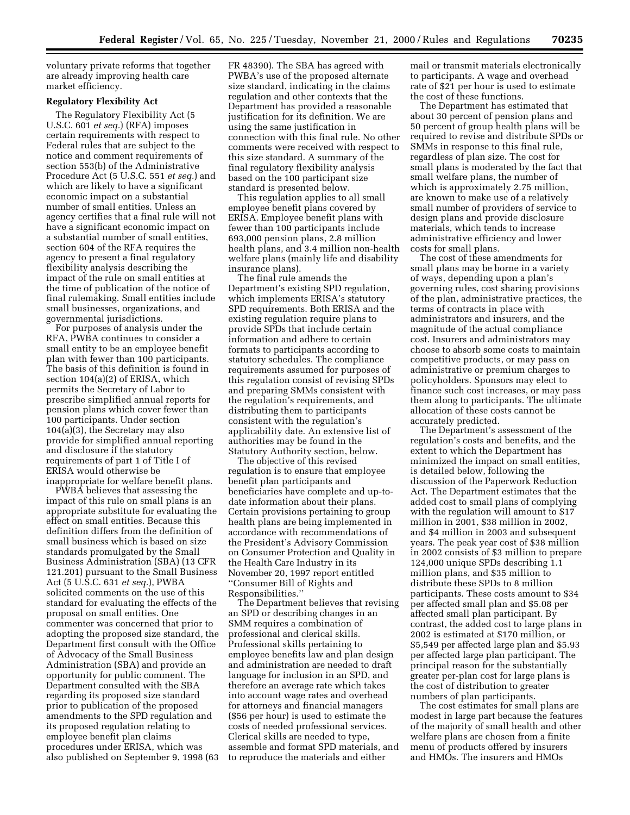voluntary private reforms that together are already improving health care market efficiency.

# **Regulatory Flexibility Act**

The Regulatory Flexibility Act (5 U.S.C. 601 *et seq.*) (RFA) imposes certain requirements with respect to Federal rules that are subject to the notice and comment requirements of section 553(b) of the Administrative Procedure Act (5 U.S.C. 551 *et seq.*) and which are likely to have a significant economic impact on a substantial number of small entities. Unless an agency certifies that a final rule will not have a significant economic impact on a substantial number of small entities, section 604 of the RFA requires the agency to present a final regulatory flexibility analysis describing the impact of the rule on small entities at the time of publication of the notice of final rulemaking. Small entities include small businesses, organizations, and governmental jurisdictions.

For purposes of analysis under the RFA, PWBA continues to consider a small entity to be an employee benefit plan with fewer than 100 participants. The basis of this definition is found in section 104(a)(2) of ERISA, which permits the Secretary of Labor to prescribe simplified annual reports for pension plans which cover fewer than 100 participants. Under section 104(a)(3), the Secretary may also provide for simplified annual reporting and disclosure if the statutory requirements of part 1 of Title I of ERISA would otherwise be inappropriate for welfare benefit plans.

PWBA believes that assessing the impact of this rule on small plans is an appropriate substitute for evaluating the effect on small entities. Because this definition differs from the definition of small business which is based on size standards promulgated by the Small Business Administration (SBA) (13 CFR 121.201) pursuant to the Small Business Act (5 U.S.C. 631 *et seq.*), PWBA solicited comments on the use of this standard for evaluating the effects of the proposal on small entities. One commenter was concerned that prior to adopting the proposed size standard, the Department first consult with the Office of Advocacy of the Small Business Administration (SBA) and provide an opportunity for public comment. The Department consulted with the SBA regarding its proposed size standard prior to publication of the proposed amendments to the SPD regulation and its proposed regulation relating to employee benefit plan claims procedures under ERISA, which was also published on September 9, 1998 (63

FR 48390). The SBA has agreed with PWBA's use of the proposed alternate size standard, indicating in the claims regulation and other contexts that the Department has provided a reasonable justification for its definition. We are using the same justification in connection with this final rule. No other comments were received with respect to this size standard. A summary of the final regulatory flexibility analysis based on the 100 participant size standard is presented below.

This regulation applies to all small employee benefit plans covered by ERISA. Employee benefit plans with fewer than 100 participants include 693,000 pension plans, 2.8 million health plans, and 3.4 million non-health welfare plans (mainly life and disability insurance plans).

The final rule amends the Department's existing SPD regulation, which implements ERISA's statutory SPD requirements. Both ERISA and the existing regulation require plans to provide SPDs that include certain information and adhere to certain formats to participants according to statutory schedules. The compliance requirements assumed for purposes of this regulation consist of revising SPDs and preparing SMMs consistent with the regulation's requirements, and distributing them to participants consistent with the regulation's applicability date. An extensive list of authorities may be found in the Statutory Authority section, below.

The objective of this revised regulation is to ensure that employee benefit plan participants and beneficiaries have complete and up-todate information about their plans. Certain provisions pertaining to group health plans are being implemented in accordance with recommendations of the President's Advisory Commission on Consumer Protection and Quality in the Health Care Industry in its November 20, 1997 report entitled ''Consumer Bill of Rights and Responsibilities.''

The Department believes that revising an SPD or describing changes in an SMM requires a combination of professional and clerical skills. Professional skills pertaining to employee benefits law and plan design and administration are needed to draft language for inclusion in an SPD, and therefore an average rate which takes into account wage rates and overhead for attorneys and financial managers (\$56 per hour) is used to estimate the costs of needed professional services. Clerical skills are needed to type, assemble and format SPD materials, and to reproduce the materials and either

mail or transmit materials electronically to participants. A wage and overhead rate of \$21 per hour is used to estimate the cost of these functions.

The Department has estimated that about 30 percent of pension plans and 50 percent of group health plans will be required to revise and distribute SPDs or SMMs in response to this final rule, regardless of plan size. The cost for small plans is moderated by the fact that small welfare plans, the number of which is approximately 2.75 million, are known to make use of a relatively small number of providers of service to design plans and provide disclosure materials, which tends to increase administrative efficiency and lower costs for small plans.

The cost of these amendments for small plans may be borne in a variety of ways, depending upon a plan's governing rules, cost sharing provisions of the plan, administrative practices, the terms of contracts in place with administrators and insurers, and the magnitude of the actual compliance cost. Insurers and administrators may choose to absorb some costs to maintain competitive products, or may pass on administrative or premium charges to policyholders. Sponsors may elect to finance such cost increases, or may pass them along to participants. The ultimate allocation of these costs cannot be accurately predicted.

The Department's assessment of the regulation's costs and benefits, and the extent to which the Department has minimized the impact on small entities, is detailed below, following the discussion of the Paperwork Reduction Act. The Department estimates that the added cost to small plans of complying with the regulation will amount to \$17 million in 2001, \$38 million in 2002, and \$4 million in 2003 and subsequent years. The peak year cost of \$38 million in 2002 consists of \$3 million to prepare 124,000 unique SPDs describing 1.1 million plans, and \$35 million to distribute these SPDs to 8 million participants. These costs amount to \$34 per affected small plan and \$5.08 per affected small plan participant. By contrast, the added cost to large plans in 2002 is estimated at \$170 million, or \$5,549 per affected large plan and \$5.93 per affected large plan participant. The principal reason for the substantially greater per-plan cost for large plans is the cost of distribution to greater numbers of plan participants.

The cost estimates for small plans are modest in large part because the features of the majority of small health and other welfare plans are chosen from a finite menu of products offered by insurers and HMOs. The insurers and HMOs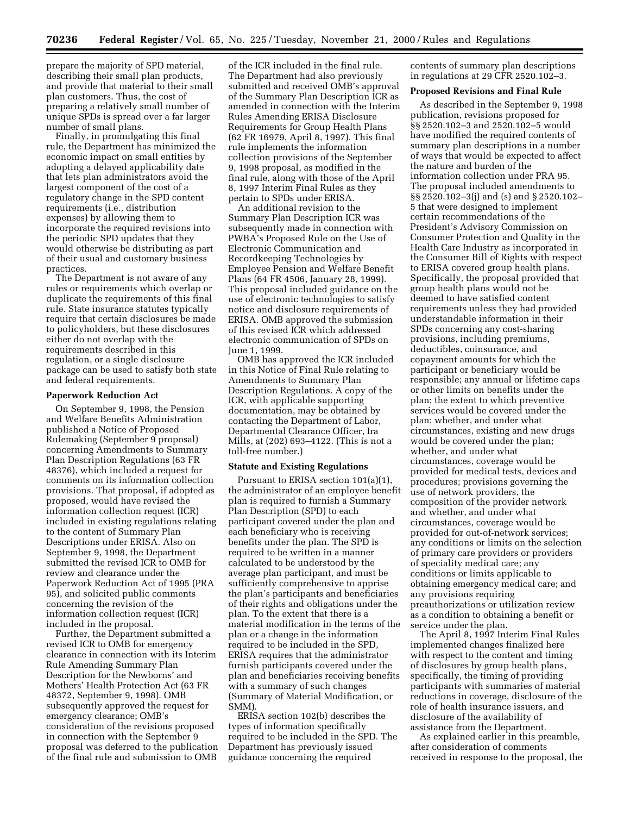prepare the majority of SPD material, describing their small plan products, and provide that material to their small plan customers. Thus, the cost of preparing a relatively small number of unique SPDs is spread over a far larger number of small plans.

Finally, in promulgating this final rule, the Department has minimized the economic impact on small entities by adopting a delayed applicability date that lets plan administrators avoid the largest component of the cost of a regulatory change in the SPD content requirements (i.e., distribution expenses) by allowing them to incorporate the required revisions into the periodic SPD updates that they would otherwise be distributing as part of their usual and customary business practices.

The Department is not aware of any rules or requirements which overlap or duplicate the requirements of this final rule. State insurance statutes typically require that certain disclosures be made to policyholders, but these disclosures either do not overlap with the requirements described in this regulation, or a single disclosure package can be used to satisfy both state and federal requirements.

#### **Paperwork Reduction Act**

On September 9, 1998, the Pension and Welfare Benefits Administration published a Notice of Proposed Rulemaking (September 9 proposal) concerning Amendments to Summary Plan Description Regulations (63 FR 48376), which included a request for comments on its information collection provisions. That proposal, if adopted as proposed, would have revised the information collection request (ICR) included in existing regulations relating to the content of Summary Plan Descriptions under ERISA. Also on September 9, 1998, the Department submitted the revised ICR to OMB for review and clearance under the Paperwork Reduction Act of 1995 (PRA 95), and solicited public comments concerning the revision of the information collection request (ICR) included in the proposal.

Further, the Department submitted a revised ICR to OMB for emergency clearance in connection with its Interim Rule Amending Summary Plan Description for the Newborns' and Mothers' Health Protection Act (63 FR 48372, September 9, 1998). OMB subsequently approved the request for emergency clearance; OMB's consideration of the revisions proposed in connection with the September 9 proposal was deferred to the publication of the final rule and submission to OMB

of the ICR included in the final rule. The Department had also previously submitted and received OMB's approval of the Summary Plan Description ICR as amended in connection with the Interim Rules Amending ERISA Disclosure Requirements for Group Health Plans (62 FR 16979, April 8, 1997). This final rule implements the information collection provisions of the September 9, 1998 proposal, as modified in the final rule, along with those of the April 8, 1997 Interim Final Rules as they pertain to SPDs under ERISA.

An additional revision to the Summary Plan Description ICR was subsequently made in connection with PWBA's Proposed Rule on the Use of Electronic Communication and Recordkeeping Technologies by Employee Pension and Welfare Benefit Plans (64 FR 4506, January 28, 1999). This proposal included guidance on the use of electronic technologies to satisfy notice and disclosure requirements of ERISA. OMB approved the submission of this revised ICR which addressed electronic communication of SPDs on June 1, 1999.

OMB has approved the ICR included in this Notice of Final Rule relating to Amendments to Summary Plan Description Regulations. A copy of the ICR, with applicable supporting documentation, may be obtained by contacting the Department of Labor, Departmental Clearance Officer, Ira Mills, at (202) 693–4122. (This is not a toll-free number.)

#### **Statute and Existing Regulations**

Pursuant to ERISA section 101(a)(1), the administrator of an employee benefit plan is required to furnish a Summary Plan Description (SPD) to each participant covered under the plan and each beneficiary who is receiving benefits under the plan. The SPD is required to be written in a manner calculated to be understood by the average plan participant, and must be sufficiently comprehensive to apprise the plan's participants and beneficiaries of their rights and obligations under the plan. To the extent that there is a material modification in the terms of the plan or a change in the information required to be included in the SPD, ERISA requires that the administrator furnish participants covered under the plan and beneficiaries receiving benefits with a summary of such changes (Summary of Material Modification, or SMM).

ERISA section 102(b) describes the types of information specifically required to be included in the SPD. The Department has previously issued guidance concerning the required

contents of summary plan descriptions in regulations at 29 CFR 2520.102–3.

#### **Proposed Revisions and Final Rule**

As described in the September 9, 1998 publication, revisions proposed for §§ 2520.102–3 and 2520.102–5 would have modified the required contents of summary plan descriptions in a number of ways that would be expected to affect the nature and burden of the information collection under PRA 95. The proposal included amendments to §§ 2520.102–3(j) and (s) and § 2520.102– 5 that were designed to implement certain recommendations of the President's Advisory Commission on Consumer Protection and Quality in the Health Care Industry as incorporated in the Consumer Bill of Rights with respect to ERISA covered group health plans. Specifically, the proposal provided that group health plans would not be deemed to have satisfied content requirements unless they had provided understandable information in their SPDs concerning any cost-sharing provisions, including premiums, deductibles, coinsurance, and copayment amounts for which the participant or beneficiary would be responsible; any annual or lifetime caps or other limits on benefits under the plan; the extent to which preventive services would be covered under the plan; whether, and under what circumstances, existing and new drugs would be covered under the plan; whether, and under what circumstances, coverage would be provided for medical tests, devices and procedures; provisions governing the use of network providers, the composition of the provider network and whether, and under what circumstances, coverage would be provided for out-of-network services; any conditions or limits on the selection of primary care providers or providers of speciality medical care; any conditions or limits applicable to obtaining emergency medical care; and any provisions requiring preauthorizations or utilization review as a condition to obtaining a benefit or service under the plan.

The April 8, 1997 Interim Final Rules implemented changes finalized here with respect to the content and timing of disclosures by group health plans, specifically, the timing of providing participants with summaries of material reductions in coverage, disclosure of the role of health insurance issuers, and disclosure of the availability of assistance from the Department.

As explained earlier in this preamble, after consideration of comments received in response to the proposal, the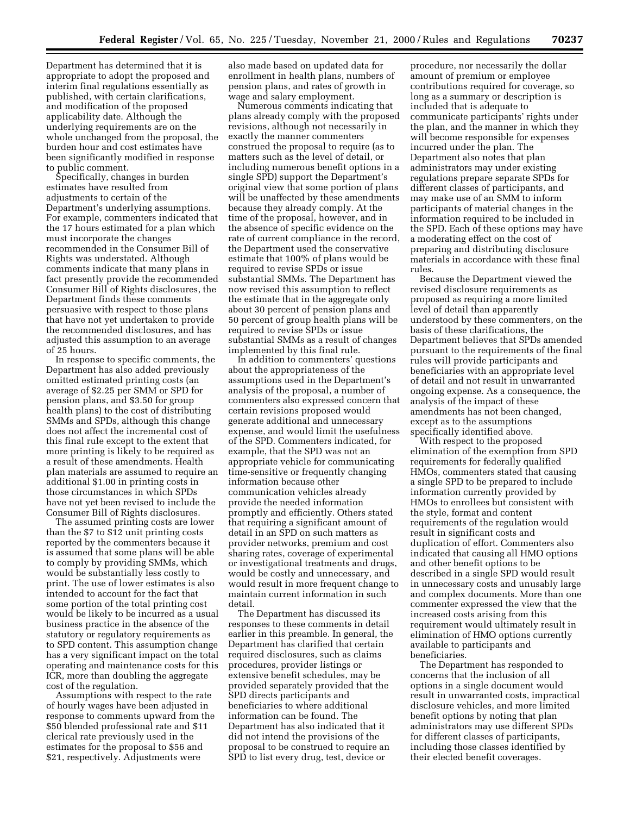Department has determined that it is appropriate to adopt the proposed and interim final regulations essentially as published, with certain clarifications, and modification of the proposed applicability date. Although the underlying requirements are on the whole unchanged from the proposal, the burden hour and cost estimates have been significantly modified in response to public comment.

Specifically, changes in burden estimates have resulted from adjustments to certain of the Department's underlying assumptions. For example, commenters indicated that the 17 hours estimated for a plan which must incorporate the changes recommended in the Consumer Bill of Rights was understated. Although comments indicate that many plans in fact presently provide the recommended Consumer Bill of Rights disclosures, the Department finds these comments persuasive with respect to those plans that have not yet undertaken to provide the recommended disclosures, and has adjusted this assumption to an average of 25 hours.

In response to specific comments, the Department has also added previously omitted estimated printing costs (an average of \$2.25 per SMM or SPD for pension plans, and \$3.50 for group health plans) to the cost of distributing SMMs and SPDs, although this change does not affect the incremental cost of this final rule except to the extent that more printing is likely to be required as a result of these amendments. Health plan materials are assumed to require an additional \$1.00 in printing costs in those circumstances in which SPDs have not yet been revised to include the Consumer Bill of Rights disclosures.

The assumed printing costs are lower than the \$7 to \$12 unit printing costs reported by the commenters because it is assumed that some plans will be able to comply by providing SMMs, which would be substantially less costly to print. The use of lower estimates is also intended to account for the fact that some portion of the total printing cost would be likely to be incurred as a usual business practice in the absence of the statutory or regulatory requirements as to SPD content. This assumption change has a very significant impact on the total operating and maintenance costs for this ICR, more than doubling the aggregate cost of the regulation.

Assumptions with respect to the rate of hourly wages have been adjusted in response to comments upward from the \$50 blended professional rate and \$11 clerical rate previously used in the estimates for the proposal to \$56 and \$21, respectively. Adjustments were

also made based on updated data for enrollment in health plans, numbers of pension plans, and rates of growth in wage and salary employment.

Numerous comments indicating that plans already comply with the proposed revisions, although not necessarily in exactly the manner commenters construed the proposal to require (as to matters such as the level of detail, or including numerous benefit options in a single SPD) support the Department's original view that some portion of plans will be unaffected by these amendments because they already comply. At the time of the proposal, however, and in the absence of specific evidence on the rate of current compliance in the record, the Department used the conservative estimate that 100% of plans would be required to revise SPDs or issue substantial SMMs. The Department has now revised this assumption to reflect the estimate that in the aggregate only about 30 percent of pension plans and 50 percent of group health plans will be required to revise SPDs or issue substantial SMMs as a result of changes implemented by this final rule.

In addition to commenters' questions about the appropriateness of the assumptions used in the Department's analysis of the proposal, a number of commenters also expressed concern that certain revisions proposed would generate additional and unnecessary expense, and would limit the usefulness of the SPD. Commenters indicated, for example, that the SPD was not an appropriate vehicle for communicating time-sensitive or frequently changing information because other communication vehicles already provide the needed information promptly and efficiently. Others stated that requiring a significant amount of detail in an SPD on such matters as provider networks, premium and cost sharing rates, coverage of experimental or investigational treatments and drugs, would be costly and unnecessary, and would result in more frequent change to maintain current information in such detail.

The Department has discussed its responses to these comments in detail earlier in this preamble. In general, the Department has clarified that certain required disclosures, such as claims procedures, provider listings or extensive benefit schedules, may be provided separately provided that the SPD directs participants and beneficiaries to where additional information can be found. The Department has also indicated that it did not intend the provisions of the proposal to be construed to require an SPD to list every drug, test, device or

procedure, nor necessarily the dollar amount of premium or employee contributions required for coverage, so long as a summary or description is included that is adequate to communicate participants' rights under the plan, and the manner in which they will become responsible for expenses incurred under the plan. The Department also notes that plan administrators may under existing regulations prepare separate SPDs for different classes of participants, and may make use of an SMM to inform participants of material changes in the information required to be included in the SPD. Each of these options may have a moderating effect on the cost of preparing and distributing disclosure materials in accordance with these final rules.

Because the Department viewed the revised disclosure requirements as proposed as requiring a more limited level of detail than apparently understood by these commenters, on the basis of these clarifications, the Department believes that SPDs amended pursuant to the requirements of the final rules will provide participants and beneficiaries with an appropriate level of detail and not result in unwarranted ongoing expense. As a consequence, the analysis of the impact of these amendments has not been changed, except as to the assumptions specifically identified above.

With respect to the proposed elimination of the exemption from SPD requirements for federally qualified HMOs, commenters stated that causing a single SPD to be prepared to include information currently provided by HMOs to enrollees but consistent with the style, format and content requirements of the regulation would result in significant costs and duplication of effort. Commenters also indicated that causing all HMO options and other benefit options to be described in a single SPD would result in unnecessary costs and unusably large and complex documents. More than one commenter expressed the view that the increased costs arising from this requirement would ultimately result in elimination of HMO options currently available to participants and beneficiaries.

The Department has responded to concerns that the inclusion of all options in a single document would result in unwarranted costs, impractical disclosure vehicles, and more limited benefit options by noting that plan administrators may use different SPDs for different classes of participants, including those classes identified by their elected benefit coverages.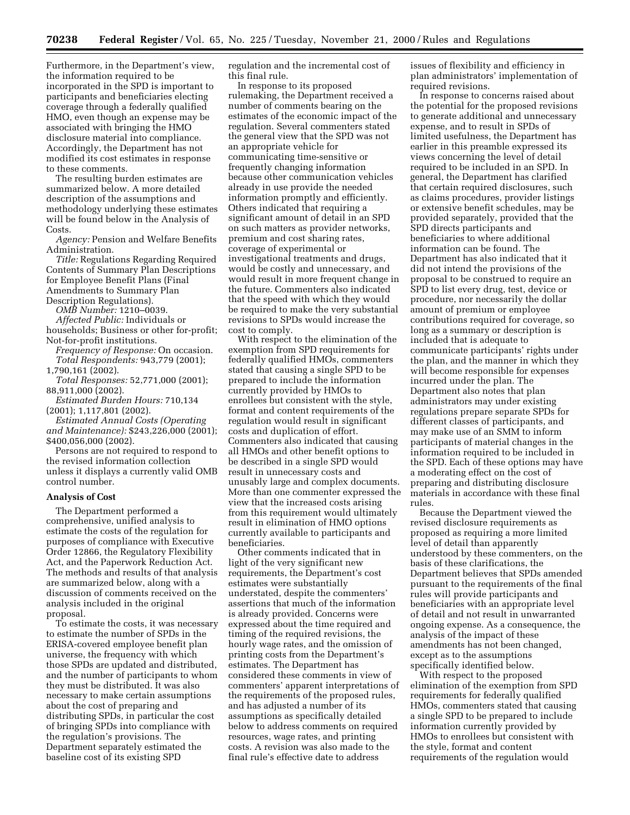Furthermore, in the Department's view, the information required to be incorporated in the SPD is important to participants and beneficiaries electing coverage through a federally qualified HMO, even though an expense may be associated with bringing the HMO disclosure material into compliance. Accordingly, the Department has not modified its cost estimates in response to these comments.

The resulting burden estimates are summarized below. A more detailed description of the assumptions and methodology underlying these estimates will be found below in the Analysis of Costs.

*Agency:* Pension and Welfare Benefits Administration.

*Title:* Regulations Regarding Required Contents of Summary Plan Descriptions for Employee Benefit Plans (Final Amendments to Summary Plan Description Regulations).

*OMB Number:* 1210–0039.

*Affected Public:* Individuals or households; Business or other for-profit; Not-for-profit institutions.

*Frequency of Response:* On occasion. *Total Respondents:* 943,779 (2001); 1,790,161 (2002).

*Total Responses:* 52,771,000 (2001); 88,911,000 (2002).

*Estimated Burden Hours:* 710,134 (2001); 1,117,801 (2002).

*Estimated Annual Costs (Operating and Maintenance):* \$243,226,000 (2001); \$400,056,000 (2002).

Persons are not required to respond to the revised information collection unless it displays a currently valid OMB control number.

#### **Analysis of Cost**

The Department performed a comprehensive, unified analysis to estimate the costs of the regulation for purposes of compliance with Executive Order 12866, the Regulatory Flexibility Act, and the Paperwork Reduction Act. The methods and results of that analysis are summarized below, along with a discussion of comments received on the analysis included in the original proposal.

To estimate the costs, it was necessary to estimate the number of SPDs in the ERISA-covered employee benefit plan universe, the frequency with which those SPDs are updated and distributed, and the number of participants to whom they must be distributed. It was also necessary to make certain assumptions about the cost of preparing and distributing SPDs, in particular the cost of bringing SPDs into compliance with the regulation's provisions. The Department separately estimated the baseline cost of its existing SPD

regulation and the incremental cost of this final rule.

In response to its proposed rulemaking, the Department received a number of comments bearing on the estimates of the economic impact of the regulation. Several commenters stated the general view that the SPD was not an appropriate vehicle for communicating time-sensitive or frequently changing information because other communication vehicles already in use provide the needed information promptly and efficiently. Others indicated that requiring a significant amount of detail in an SPD on such matters as provider networks, premium and cost sharing rates, coverage of experimental or investigational treatments and drugs, would be costly and unnecessary, and would result in more frequent change in the future. Commenters also indicated that the speed with which they would be required to make the very substantial revisions to SPDs would increase the cost to comply.

With respect to the elimination of the exemption from SPD requirements for federally qualified HMOs, commenters stated that causing a single SPD to be prepared to include the information currently provided by HMOs to enrollees but consistent with the style, format and content requirements of the regulation would result in significant costs and duplication of effort. Commenters also indicated that causing all HMOs and other benefit options to be described in a single SPD would result in unnecessary costs and unusably large and complex documents. More than one commenter expressed the view that the increased costs arising from this requirement would ultimately result in elimination of HMO options currently available to participants and beneficiaries.

Other comments indicated that in light of the very significant new requirements, the Department's cost estimates were substantially understated, despite the commenters' assertions that much of the information is already provided. Concerns were expressed about the time required and timing of the required revisions, the hourly wage rates, and the omission of printing costs from the Department's estimates. The Department has considered these comments in view of commenters' apparent interpretations of the requirements of the proposed rules, and has adjusted a number of its assumptions as specifically detailed below to address comments on required resources, wage rates, and printing costs. A revision was also made to the final rule's effective date to address

issues of flexibility and efficiency in plan administrators' implementation of required revisions.

In response to concerns raised about the potential for the proposed revisions to generate additional and unnecessary expense, and to result in SPDs of limited usefulness, the Department has earlier in this preamble expressed its views concerning the level of detail required to be included in an SPD. In general, the Department has clarified that certain required disclosures, such as claims procedures, provider listings or extensive benefit schedules, may be provided separately, provided that the SPD directs participants and beneficiaries to where additional information can be found. The Department has also indicated that it did not intend the provisions of the proposal to be construed to require an SPD to list every drug, test, device or procedure, nor necessarily the dollar amount of premium or employee contributions required for coverage, so long as a summary or description is included that is adequate to communicate participants' rights under the plan, and the manner in which they will become responsible for expenses incurred under the plan. The Department also notes that plan administrators may under existing regulations prepare separate SPDs for different classes of participants, and may make use of an SMM to inform participants of material changes in the information required to be included in the SPD. Each of these options may have a moderating effect on the cost of preparing and distributing disclosure materials in accordance with these final rules.

Because the Department viewed the revised disclosure requirements as proposed as requiring a more limited level of detail than apparently understood by these commenters, on the basis of these clarifications, the Department believes that SPDs amended pursuant to the requirements of the final rules will provide participants and beneficiaries with an appropriate level of detail and not result in unwarranted ongoing expense. As a consequence, the analysis of the impact of these amendments has not been changed, except as to the assumptions specifically identified below.

With respect to the proposed elimination of the exemption from SPD requirements for federally qualified HMOs, commenters stated that causing a single SPD to be prepared to include information currently provided by HMOs to enrollees but consistent with the style, format and content requirements of the regulation would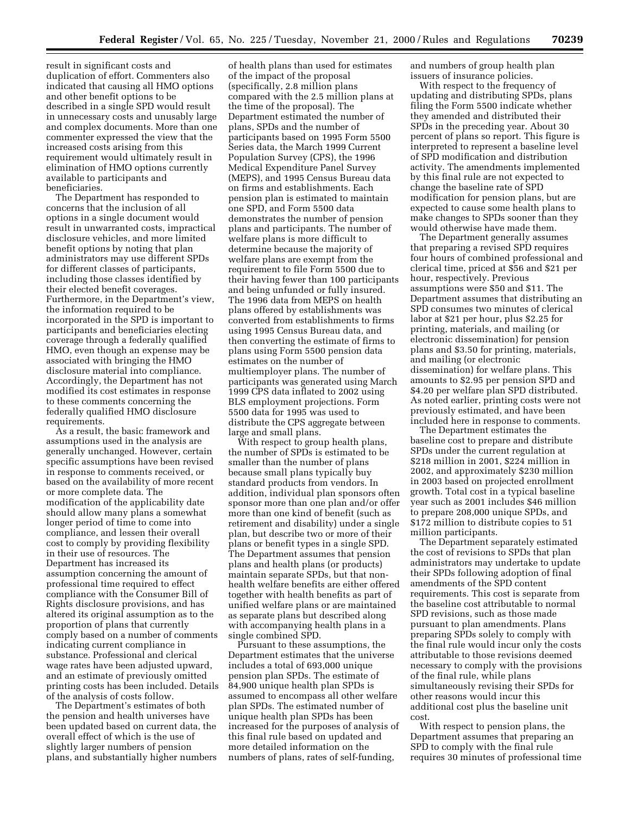result in significant costs and duplication of effort. Commenters also indicated that causing all HMO options and other benefit options to be described in a single SPD would result in unnecessary costs and unusably large and complex documents. More than one commenter expressed the view that the increased costs arising from this requirement would ultimately result in elimination of HMO options currently available to participants and beneficiaries.

The Department has responded to concerns that the inclusion of all options in a single document would result in unwarranted costs, impractical disclosure vehicles, and more limited benefit options by noting that plan administrators may use different SPDs for different classes of participants, including those classes identified by their elected benefit coverages. Furthermore, in the Department's view, the information required to be incorporated in the SPD is important to participants and beneficiaries electing coverage through a federally qualified HMO, even though an expense may be associated with bringing the HMO disclosure material into compliance. Accordingly, the Department has not modified its cost estimates in response to these comments concerning the federally qualified HMO disclosure requirements.

As a result, the basic framework and assumptions used in the analysis are generally unchanged. However, certain specific assumptions have been revised in response to comments received, or based on the availability of more recent or more complete data. The modification of the applicability date should allow many plans a somewhat longer period of time to come into compliance, and lessen their overall cost to comply by providing flexibility in their use of resources. The Department has increased its assumption concerning the amount of professional time required to effect compliance with the Consumer Bill of Rights disclosure provisions, and has altered its original assumption as to the proportion of plans that currently comply based on a number of comments indicating current compliance in substance. Professional and clerical wage rates have been adjusted upward, and an estimate of previously omitted printing costs has been included. Details of the analysis of costs follow.

The Department's estimates of both the pension and health universes have been updated based on current data, the overall effect of which is the use of slightly larger numbers of pension plans, and substantially higher numbers

of health plans than used for estimates of the impact of the proposal (specifically, 2.8 million plans compared with the 2.5 million plans at the time of the proposal). The Department estimated the number of plans, SPDs and the number of participants based on 1995 Form 5500 Series data, the March 1999 Current Population Survey (CPS), the 1996 Medical Expenditure Panel Survey (MEPS), and 1995 Census Bureau data on firms and establishments. Each pension plan is estimated to maintain one SPD, and Form 5500 data demonstrates the number of pension plans and participants. The number of welfare plans is more difficult to determine because the majority of welfare plans are exempt from the requirement to file Form 5500 due to their having fewer than 100 participants and being unfunded or fully insured. The 1996 data from MEPS on health plans offered by establishments was converted from establishments to firms using 1995 Census Bureau data, and then converting the estimate of firms to plans using Form 5500 pension data estimates on the number of multiemployer plans. The number of participants was generated using March 1999 CPS data inflated to 2002 using BLS employment projections. Form 5500 data for 1995 was used to distribute the CPS aggregate between large and small plans.

With respect to group health plans, the number of SPDs is estimated to be smaller than the number of plans because small plans typically buy standard products from vendors. In addition, individual plan sponsors often sponsor more than one plan and/or offer more than one kind of benefit (such as retirement and disability) under a single plan, but describe two or more of their plans or benefit types in a single SPD. The Department assumes that pension plans and health plans (or products) maintain separate SPDs, but that nonhealth welfare benefits are either offered together with health benefits as part of unified welfare plans or are maintained as separate plans but described along with accompanying health plans in a single combined SPD.

Pursuant to these assumptions, the Department estimates that the universe includes a total of 693,000 unique pension plan SPDs. The estimate of 84,900 unique health plan SPDs is assumed to encompass all other welfare plan SPDs. The estimated number of unique health plan SPDs has been increased for the purposes of analysis of this final rule based on updated and more detailed information on the numbers of plans, rates of self-funding,

and numbers of group health plan issuers of insurance policies.

With respect to the frequency of updating and distributing SPDs, plans filing the Form 5500 indicate whether they amended and distributed their SPDs in the preceding year. About 30 percent of plans so report. This figure is interpreted to represent a baseline level of SPD modification and distribution activity. The amendments implemented by this final rule are not expected to change the baseline rate of SPD modification for pension plans, but are expected to cause some health plans to make changes to SPDs sooner than they would otherwise have made them.

The Department generally assumes that preparing a revised SPD requires four hours of combined professional and clerical time, priced at \$56 and \$21 per hour, respectively. Previous assumptions were \$50 and \$11. The Department assumes that distributing an SPD consumes two minutes of clerical labor at \$21 per hour, plus \$2.25 for printing, materials, and mailing (or electronic dissemination) for pension plans and \$3.50 for printing, materials, and mailing (or electronic dissemination) for welfare plans. This amounts to \$2.95 per pension SPD and \$4.20 per welfare plan SPD distributed. As noted earlier, printing costs were not previously estimated, and have been included here in response to comments.

The Department estimates the baseline cost to prepare and distribute SPDs under the current regulation at \$218 million in 2001, \$224 million in 2002, and approximately \$230 million in 2003 based on projected enrollment growth. Total cost in a typical baseline year such as 2001 includes \$46 million to prepare 208,000 unique SPDs, and \$172 million to distribute copies to 51 million participants.

The Department separately estimated the cost of revisions to SPDs that plan administrators may undertake to update their SPDs following adoption of final amendments of the SPD content requirements. This cost is separate from the baseline cost attributable to normal SPD revisions, such as those made pursuant to plan amendments. Plans preparing SPDs solely to comply with the final rule would incur only the costs attributable to those revisions deemed necessary to comply with the provisions of the final rule, while plans simultaneously revising their SPDs for other reasons would incur this additional cost plus the baseline unit cost.

With respect to pension plans, the Department assumes that preparing an SPD to comply with the final rule requires 30 minutes of professional time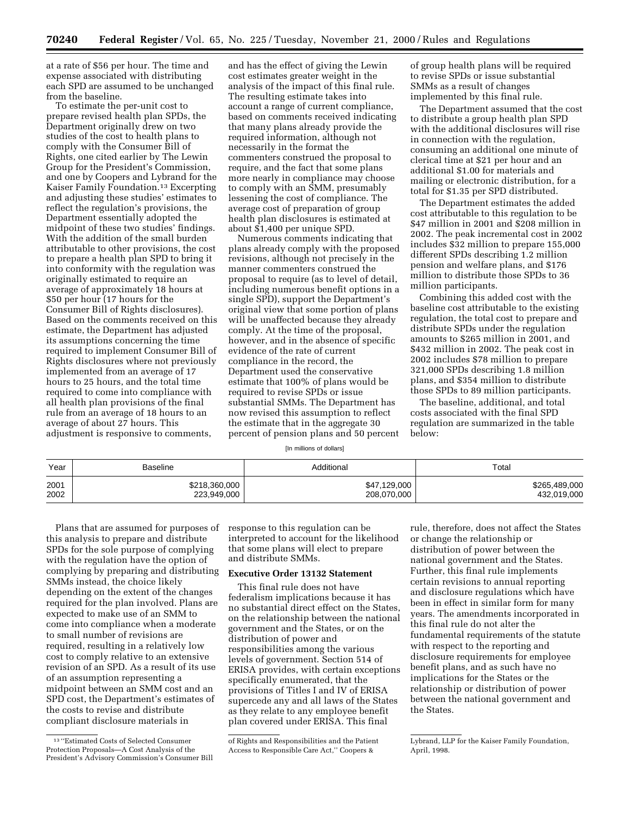at a rate of \$56 per hour. The time and expense associated with distributing each SPD are assumed to be unchanged from the baseline.

To estimate the per-unit cost to prepare revised health plan SPDs, the Department originally drew on two studies of the cost to health plans to comply with the Consumer Bill of Rights, one cited earlier by The Lewin Group for the President's Commission, and one by Coopers and Lybrand for the Kaiser Family Foundation.13 Excerpting and adjusting these studies' estimates to reflect the regulation's provisions, the Department essentially adopted the midpoint of these two studies' findings. With the addition of the small burden attributable to other provisions, the cost to prepare a health plan SPD to bring it into conformity with the regulation was originally estimated to require an average of approximately 18 hours at \$50 per hour (17 hours for the Consumer Bill of Rights disclosures). Based on the comments received on this estimate, the Department has adjusted its assumptions concerning the time required to implement Consumer Bill of Rights disclosures where not previously implemented from an average of 17 hours to 25 hours, and the total time required to come into compliance with all health plan provisions of the final rule from an average of 18 hours to an average of about 27 hours. This adjustment is responsive to comments,

and has the effect of giving the Lewin cost estimates greater weight in the analysis of the impact of this final rule. The resulting estimate takes into account a range of current compliance, based on comments received indicating that many plans already provide the required information, although not necessarily in the format the commenters construed the proposal to require, and the fact that some plans more nearly in compliance may choose to comply with an SMM, presumably lessening the cost of compliance. The average cost of preparation of group health plan disclosures is estimated at about \$1,400 per unique SPD.

Numerous comments indicating that plans already comply with the proposed revisions, although not precisely in the manner commenters construed the proposal to require (as to level of detail, including numerous benefit options in a single SPD), support the Department's original view that some portion of plans will be unaffected because they already comply. At the time of the proposal, however, and in the absence of specific evidence of the rate of current compliance in the record, the Department used the conservative estimate that 100% of plans would be required to revise SPDs or issue substantial SMMs. The Department has now revised this assumption to reflect the estimate that in the aggregate 30 percent of pension plans and 50 percent

of group health plans will be required to revise SPDs or issue substantial SMMs as a result of changes implemented by this final rule.

The Department assumed that the cost to distribute a group health plan SPD with the additional disclosures will rise in connection with the regulation, consuming an additional one minute of clerical time at \$21 per hour and an additional \$1.00 for materials and mailing or electronic distribution, for a total for \$1.35 per SPD distributed.

The Department estimates the added cost attributable to this regulation to be \$47 million in 2001 and \$208 million in 2002. The peak incremental cost in 2002 includes \$32 million to prepare 155,000 different SPDs describing 1.2 million pension and welfare plans, and \$176 million to distribute those SPDs to 36 million participants.

Combining this added cost with the baseline cost attributable to the existing regulation, the total cost to prepare and distribute SPDs under the regulation amounts to \$265 million in 2001, and \$432 million in 2002. The peak cost in 2002 includes \$78 million to prepare 321,000 SPDs describing 1.8 million plans, and \$354 million to distribute those SPDs to 89 million participants.

The baseline, additional, and total costs associated with the final SPD regulation are summarized in the table below:

#### [In millions of dollars]

| Year | <b>Baseline</b> | Additional   | Total         |
|------|-----------------|--------------|---------------|
| 2001 | \$218,360,000   | \$47,129,000 | \$265,489,000 |
| 2002 | 223,949,000     | 208,070,000  | 432,019,000   |

Plans that are assumed for purposes of this analysis to prepare and distribute SPDs for the sole purpose of complying with the regulation have the option of complying by preparing and distributing SMMs instead, the choice likely depending on the extent of the changes required for the plan involved. Plans are expected to make use of an SMM to come into compliance when a moderate to small number of revisions are required, resulting in a relatively low cost to comply relative to an extensive revision of an SPD. As a result of its use of an assumption representing a midpoint between an SMM cost and an SPD cost, the Department's estimates of the costs to revise and distribute compliant disclosure materials in

response to this regulation can be interpreted to account for the likelihood that some plans will elect to prepare and distribute SMMs.

# **Executive Order 13132 Statement**

This final rule does not have federalism implications because it has no substantial direct effect on the States, on the relationship between the national government and the States, or on the distribution of power and responsibilities among the various levels of government. Section 514 of ERISA provides, with certain exceptions specifically enumerated, that the provisions of Titles I and IV of ERISA supercede any and all laws of the States as they relate to any employee benefit plan covered under ERISA. This final

rule, therefore, does not affect the States or change the relationship or distribution of power between the national government and the States. Further, this final rule implements certain revisions to annual reporting and disclosure regulations which have been in effect in similar form for many years. The amendments incorporated in this final rule do not alter the fundamental requirements of the statute with respect to the reporting and disclosure requirements for employee benefit plans, and as such have no implications for the States or the relationship or distribution of power between the national government and the States.

<sup>13</sup> ''Estimated Costs of Selected Consumer Protection Proposals—A Cost Analysis of the President's Advisory Commission's Consumer Bill

of Rights and Responsibilities and the Patient Access to Responsible Care Act,'' Coopers &

Lybrand, LLP for the Kaiser Family Foundation, April, 1998.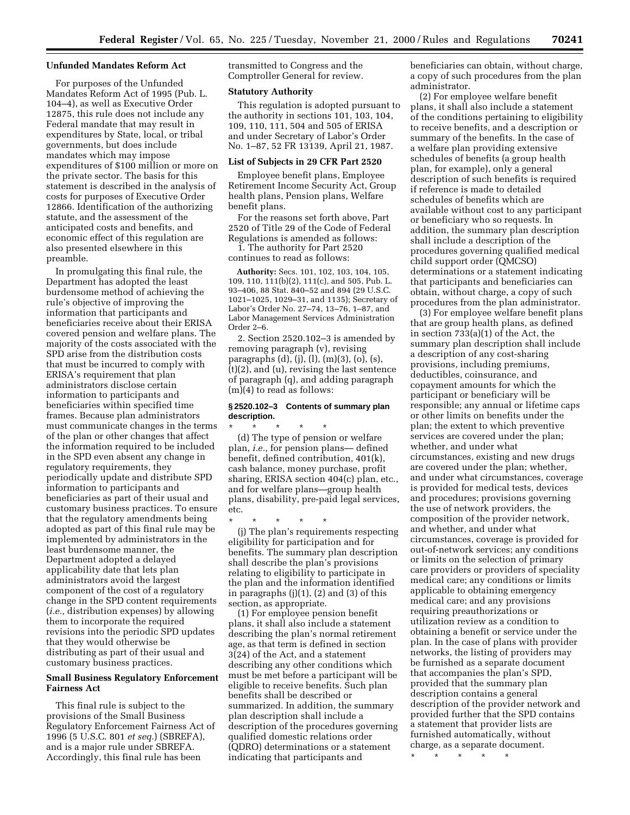#### **Unfunded Mandates Reform Act**

For purposes of the Unfunded Mandates Reform Act of 1995 (Pub. L. 104–4), as well as Executive Order 12875, this rule does not include any Federal mandate that may result in expenditures by State, local, or tribal governments, but does include mandates which may impose expenditures of \$100 million or more on the private sector. The basis for this statement is described in the analysis of costs for purposes of Executive Order 12866. Identification of the authorizing statute, and the assessment of the anticipated costs and benefits, and economic effect of this regulation are also presented elsewhere in this preamble.

In promulgating this final rule, the Department has adopted the least burdensome method of achieving the rule's objective of improving the information that participants and beneficiaries receive about their ERISA covered pension and welfare plans. The majority of the costs associated with the SPD arise from the distribution costs that must be incurred to comply with ERISA's requirement that plan administrators disclose certain information to participants and beneficiaries within specified time frames. Because plan administrators must communicate changes in the terms of the plan or other changes that affect the information required to be included in the SPD even absent any change in regulatory requirements, they periodically update and distribute SPD information to participants and beneficiaries as part of their usual and customary business practices. To ensure that the regulatory amendments being adopted as part of this final rule may be implemented by administrators in the least burdensome manner, the Department adopted a delayed applicability date that lets plan administrators avoid the largest component of the cost of a regulatory change in the SPD content requirements (*i.e.,* distribution expenses) by allowing them to incorporate the required revisions into the periodic SPD updates that they would otherwise be distributing as part of their usual and customary business practices.

#### **Small Business Regulatory Enforcement Fairness Act**

This final rule is subject to the provisions of the Small Business Regulatory Enforcement Fairness Act of 1996 (5 U.S.C. 801 *et seq.*) (SBREFA), and is a major rule under SBREFA. Accordingly, this final rule has been

transmitted to Congress and the Comptroller General for review.

#### **Statutory Authority**

This regulation is adopted pursuant to the authority in sections 101, 103, 104, 109, 110, 111, 504 and 505 of ERISA and under Secretary of Labor's Order No. 1–87, 52 FR 13139, April 21, 1987.

#### **List of Subjects in 29 CFR Part 2520**

Employee benefit plans, Employee Retirement Income Security Act, Group health plans, Pension plans, Welfare benefit plans.

For the reasons set forth above, Part 2520 of Title 29 of the Code of Federal Regulations is amended as follows:

1. The authority for Part 2520 continues to read as follows:

**Authority:** Secs. 101, 102, 103, 104, 105, 109, 110, 111(b)(2), 111(c), and 505, Pub. L. 93–406, 88 Stat. 840–52 and 894 (29 U.S.C. 1021–1025, 1029–31, and 1135); Secretary of Labor's Order No. 27–74, 13–76, 1–87, and Labor Management Services Administration Order 2–6.

2. Section 2520.102–3 is amended by removing paragraph (v), revising paragraphs (d), (j), (l), (m)(3), (o), (s), (t)(2), and (u), revising the last sentence of paragraph (q), and adding paragraph (m)(4) to read as follows:

#### **§ 2520.102–3 Contents of summary plan description.**

\* \* \* \* \* (d) The type of pension or welfare plan, *i.e.,* for pension plans— defined benefit, defined contribution, 401(k), cash balance, money purchase, profit sharing, ERISA section 404(c) plan, etc., and for welfare plans—group health plans, disability, pre-paid legal services, etc.

\* \* \* \* \* (j) The plan's requirements respecting eligibility for participation and for benefits. The summary plan description shall describe the plan's provisions relating to eligibility to participate in the plan and the information identified in paragraphs (j)(1), (2) and (3) of this section, as appropriate.

(1) For employee pension benefit plans, it shall also include a statement describing the plan's normal retirement age, as that term is defined in section 3(24) of the Act, and a statement describing any other conditions which must be met before a participant will be eligible to receive benefits. Such plan benefits shall be described or summarized. In addition, the summary plan description shall include a description of the procedures governing qualified domestic relations order (QDRO) determinations or a statement indicating that participants and

beneficiaries can obtain, without charge, a copy of such procedures from the plan administrator.

(2) For employee welfare benefit plans, it shall also include a statement of the conditions pertaining to eligibility to receive benefits, and a description or summary of the benefits. In the case of a welfare plan providing extensive schedules of benefits (a group health plan, for example), only a general description of such benefits is required if reference is made to detailed schedules of benefits which are available without cost to any participant or beneficiary who so requests. In addition, the summary plan description shall include a description of the procedures governing qualified medical child support order (QMCSO) determinations or a statement indicating that participants and beneficiaries can obtain, without charge, a copy of such procedures from the plan administrator.

(3) For employee welfare benefit plans that are group health plans, as defined in section 733(a)(1) of the Act, the summary plan description shall include a description of any cost-sharing provisions, including premiums, deductibles, coinsurance, and copayment amounts for which the participant or beneficiary will be responsible; any annual or lifetime caps or other limits on benefits under the plan; the extent to which preventive services are covered under the plan; whether, and under what circumstances, existing and new drugs are covered under the plan; whether, and under what circumstances, coverage is provided for medical tests, devices and procedures; provisions governing the use of network providers, the composition of the provider network, and whether, and under what circumstances, coverage is provided for out-of-network services; any conditions or limits on the selection of primary care providers or providers of speciality medical care; any conditions or limits applicable to obtaining emergency medical care; and any provisions requiring preauthorizations or utilization review as a condition to obtaining a benefit or service under the plan. In the case of plans with provider networks, the listing of providers may be furnished as a separate document that accompanies the plan's SPD, provided that the summary plan description contains a general description of the provider network and provided further that the SPD contains a statement that provider lists are furnished automatically, without charge, as a separate document.

\* \* \* \* \*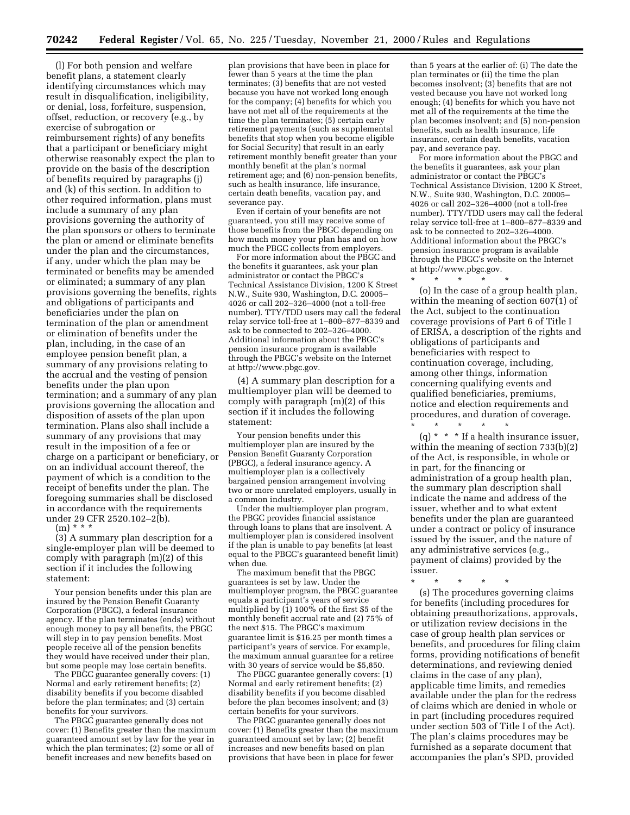(l) For both pension and welfare benefit plans, a statement clearly identifying circumstances which may result in disqualification, ineligibility, or denial, loss, forfeiture, suspension, offset, reduction, or recovery (e.g., by exercise of subrogation or reimbursement rights) of any benefits that a participant or beneficiary might otherwise reasonably expect the plan to provide on the basis of the description of benefits required by paragraphs (j) and (k) of this section. In addition to other required information, plans must include a summary of any plan provisions governing the authority of the plan sponsors or others to terminate the plan or amend or eliminate benefits under the plan and the circumstances, if any, under which the plan may be terminated or benefits may be amended or eliminated; a summary of any plan provisions governing the benefits, rights and obligations of participants and beneficiaries under the plan on termination of the plan or amendment or elimination of benefits under the plan, including, in the case of an employee pension benefit plan, a summary of any provisions relating to the accrual and the vesting of pension benefits under the plan upon termination; and a summary of any plan provisions governing the allocation and disposition of assets of the plan upon termination. Plans also shall include a summary of any provisions that may result in the imposition of a fee or charge on a participant or beneficiary, or on an individual account thereof, the payment of which is a condition to the receipt of benefits under the plan. The foregoing summaries shall be disclosed in accordance with the requirements under 29 CFR 2520.102–2(b).

 $(m) * * *$ 

(3) A summary plan description for a single-employer plan will be deemed to comply with paragraph (m)(2) of this section if it includes the following statement:

Your pension benefits under this plan are insured by the Pension Benefit Guaranty Corporation (PBGC), a federal insurance agency. If the plan terminates (ends) without enough money to pay all benefits, the PBGC will step in to pay pension benefits. Most people receive all of the pension benefits they would have received under their plan, but some people may lose certain benefits.

The PBGC guarantee generally covers: (1) Normal and early retirement benefits; (2) disability benefits if you become disabled before the plan terminates; and (3) certain benefits for your survivors.

The PBGC guarantee generally does not cover: (1) Benefits greater than the maximum guaranteed amount set by law for the year in which the plan terminates; (2) some or all of benefit increases and new benefits based on

plan provisions that have been in place for fewer than 5 years at the time the plan terminates; (3) benefits that are not vested because you have not worked long enough for the company; (4) benefits for which you have not met all of the requirements at the time the plan terminates; (5) certain early retirement payments (such as supplemental benefits that stop when you become eligible for Social Security) that result in an early retirement monthly benefit greater than your monthly benefit at the plan's normal retirement age; and (6) non-pension benefits, such as health insurance, life insurance, certain death benefits, vacation pay, and severance pay.

Even if certain of your benefits are not guaranteed, you still may receive some of those benefits from the PBGC depending on how much money your plan has and on how much the PBGC collects from employers.

For more information about the PBGC and the benefits it guarantees, ask your plan administrator or contact the PBGC's Technical Assistance Division, 1200 K Street N.W., Suite 930, Washington, D.C. 20005– 4026 or call 202–326–4000 (not a toll-free number). TTY/TDD users may call the federal relay service toll-free at 1–800–877–8339 and ask to be connected to 202–326–4000. Additional information about the PBGC's pension insurance program is available through the PBGC's website on the Internet at http://www.pbgc.gov.

(4) A summary plan description for a multiemployer plan will be deemed to comply with paragraph (m)(2) of this section if it includes the following statement:

Your pension benefits under this multiemployer plan are insured by the Pension Benefit Guaranty Corporation (PBGC), a federal insurance agency. A multiemployer plan is a collectively bargained pension arrangement involving two or more unrelated employers, usually in a common industry.

Under the multiemployer plan program, the PBGC provides financial assistance through loans to plans that are insolvent. A multiemployer plan is considered insolvent if the plan is unable to pay benefits (at least equal to the PBGC's guaranteed benefit limit) when due.

The maximum benefit that the PBGC guarantees is set by law. Under the multiemployer program, the PBGC guarantee equals a participant's years of service multiplied by  $(1)$  100% of the first \$5 of the monthly benefit accrual rate and (2) 75% of the next \$15. The PBGC's maximum guarantee limit is \$16.25 per month times a participant's years of service. For example, the maximum annual guarantee for a retiree with 30 years of service would be \$5,850.

The PBGC guarantee generally covers: (1) Normal and early retirement benefits; (2) disability benefits if you become disabled before the plan becomes insolvent; and (3) certain benefits for your survivors.

The PBGC guarantee generally does not cover: (1) Benefits greater than the maximum guaranteed amount set by law; (2) benefit increases and new benefits based on plan provisions that have been in place for fewer

than 5 years at the earlier of: (i) The date the plan terminates or (ii) the time the plan becomes insolvent; (3) benefits that are not vested because you have not worked long enough; (4) benefits for which you have not met all of the requirements at the time the plan becomes insolvent; and (5) non-pension benefits, such as health insurance, life insurance, certain death benefits, vacation pay, and severance pay.

For more information about the PBGC and the benefits it guarantees, ask your plan administrator or contact the PBGC's Technical Assistance Division, 1200 K Street, N.W., Suite 930, Washington, D.C. 20005– 4026 or call 202–326–4000 (not a toll-free number). TTY/TDD users may call the federal relay service toll-free at 1–800–877–8339 and ask to be connected to 202–326–4000. Additional information about the PBGC's pension insurance program is available through the PBGC's website on the Internet at http://www.pbgc.gov.

\* \* \* \* \*

(o) In the case of a group health plan, within the meaning of section 607(1) of the Act, subject to the continuation coverage provisions of Part 6 of Title I of ERISA, a description of the rights and obligations of participants and beneficiaries with respect to continuation coverage, including, among other things, information concerning qualifying events and qualified beneficiaries, premiums, notice and election requirements and procedures, and duration of coverage. \* \* \* \* \*

(q) \* \* \* If a health insurance issuer, within the meaning of section 733(b)(2) of the Act, is responsible, in whole or in part, for the financing or administration of a group health plan, the summary plan description shall indicate the name and address of the issuer, whether and to what extent benefits under the plan are guaranteed under a contract or policy of insurance issued by the issuer, and the nature of any administrative services (e.g., payment of claims) provided by the issuer.

\* \* \* \* \* (s) The procedures governing claims for benefits (including procedures for obtaining preauthorizations, approvals, or utilization review decisions in the case of group health plan services or benefits, and procedures for filing claim forms, providing notifications of benefit determinations, and reviewing denied claims in the case of any plan), applicable time limits, and remedies available under the plan for the redress of claims which are denied in whole or in part (including procedures required under section 503 of Title I of the Act). The plan's claims procedures may be furnished as a separate document that accompanies the plan's SPD, provided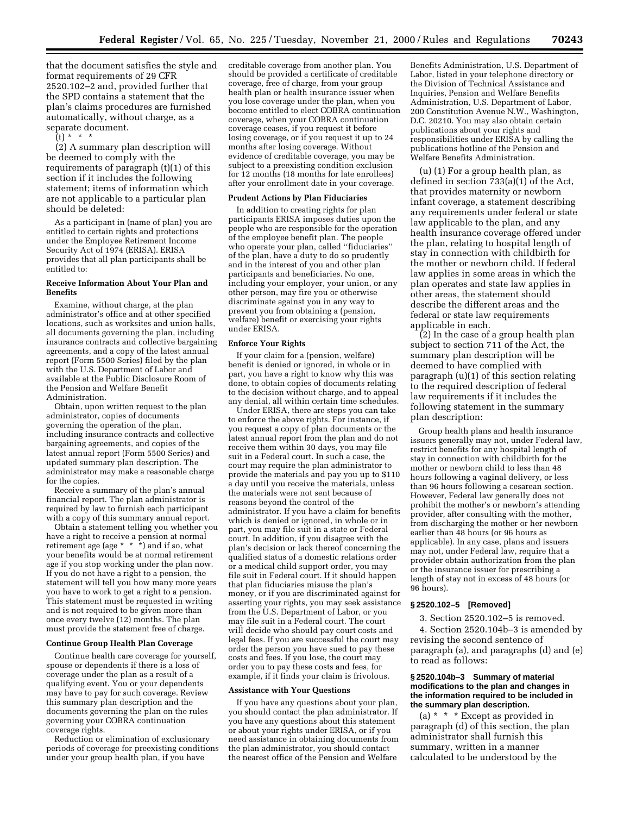that the document satisfies the style and format requirements of 29 CFR 2520.102–2 and, provided further that the SPD contains a statement that the plan's claims procedures are furnished automatically, without charge, as a separate document.

 $(t) * * * *$ 

(2) A summary plan description will be deemed to comply with the requirements of paragraph (t)(1) of this section if it includes the following statement; items of information which are not applicable to a particular plan should be deleted:

As a participant in (name of plan) you are entitled to certain rights and protections under the Employee Retirement Income Security Act of 1974 (ERISA). ERISA provides that all plan participants shall be entitled to:

#### **Receive Information About Your Plan and Benefits**

Examine, without charge, at the plan administrator's office and at other specified locations, such as worksites and union halls, all documents governing the plan, including insurance contracts and collective bargaining agreements, and a copy of the latest annual report (Form 5500 Series) filed by the plan with the U.S. Department of Labor and available at the Public Disclosure Room of the Pension and Welfare Benefit Administration.

Obtain, upon written request to the plan administrator, copies of documents governing the operation of the plan, including insurance contracts and collective bargaining agreements, and copies of the latest annual report (Form 5500 Series) and updated summary plan description. The administrator may make a reasonable charge for the copies.

Receive a summary of the plan's annual financial report. The plan administrator is required by law to furnish each participant with a copy of this summary annual report.

Obtain a statement telling you whether you have a right to receive a pension at normal retirement age (age  $* * *$ ) and if so, what your benefits would be at normal retirement age if you stop working under the plan now. If you do not have a right to a pension, the statement will tell you how many more years you have to work to get a right to a pension. This statement must be requested in writing and is not required to be given more than once every twelve (12) months. The plan must provide the statement free of charge.

# **Continue Group Health Plan Coverage**

Continue health care coverage for yourself, spouse or dependents if there is a loss of coverage under the plan as a result of a qualifying event. You or your dependents may have to pay for such coverage. Review this summary plan description and the documents governing the plan on the rules governing your COBRA continuation coverage rights.

Reduction or elimination of exclusionary periods of coverage for preexisting conditions under your group health plan, if you have

creditable coverage from another plan. You should be provided a certificate of creditable coverage, free of charge, from your group health plan or health insurance issuer when you lose coverage under the plan, when you become entitled to elect COBRA continuation coverage, when your COBRA continuation coverage ceases, if you request it before losing coverage, or if you request it up to 24 months after losing coverage. Without evidence of creditable coverage, you may be subject to a preexisting condition exclusion for 12 months (18 months for late enrollees) after your enrollment date in your coverage.

#### **Prudent Actions by Plan Fiduciaries**

In addition to creating rights for plan participants ERISA imposes duties upon the people who are responsible for the operation of the employee benefit plan. The people who operate your plan, called ''fiduciaries'' of the plan, have a duty to do so prudently and in the interest of you and other plan participants and beneficiaries. No one, including your employer, your union, or any other person, may fire you or otherwise discriminate against you in any way to prevent you from obtaining a (pension, welfare) benefit or exercising your rights under ERISA.

#### **Enforce Your Rights**

If your claim for a (pension, welfare) benefit is denied or ignored, in whole or in part, you have a right to know why this was done, to obtain copies of documents relating to the decision without charge, and to appeal any denial, all within certain time schedules.

Under ERISA, there are steps you can take to enforce the above rights. For instance, if you request a copy of plan documents or the latest annual report from the plan and do not receive them within 30 days, you may file suit in a Federal court. In such a case, the court may require the plan administrator to provide the materials and pay you up to \$110 a day until you receive the materials, unless the materials were not sent because of reasons beyond the control of the administrator. If you have a claim for benefits which is denied or ignored, in whole or in part, you may file suit in a state or Federal court. In addition, if you disagree with the plan's decision or lack thereof concerning the qualified status of a domestic relations order or a medical child support order, you may file suit in Federal court. If it should happen that plan fiduciaries misuse the plan's money, or if you are discriminated against for asserting your rights, you may seek assistance from the U.S. Department of Labor, or you may file suit in a Federal court. The court will decide who should pay court costs and legal fees. If you are successful the court may order the person you have sued to pay these costs and fees. If you lose, the court may order you to pay these costs and fees, for example, if it finds your claim is frivolous.

#### **Assistance with Your Questions**

If you have any questions about your plan, you should contact the plan administrator. If you have any questions about this statement or about your rights under ERISA, or if you need assistance in obtaining documents from the plan administrator, you should contact the nearest office of the Pension and Welfare

Benefits Administration, U.S. Department of Labor, listed in your telephone directory or the Division of Technical Assistance and Inquiries, Pension and Welfare Benefits Administration, U.S. Department of Labor, 200 Constitution Avenue N.W., Washington, D.C. 20210. You may also obtain certain publications about your rights and responsibilities under ERISA by calling the publications hotline of the Pension and Welfare Benefits Administration.

(u) (1) For a group health plan, as defined in section 733(a)(1) of the Act, that provides maternity or newborn infant coverage, a statement describing any requirements under federal or state law applicable to the plan, and any health insurance coverage offered under the plan, relating to hospital length of stay in connection with childbirth for the mother or newborn child. If federal law applies in some areas in which the plan operates and state law applies in other areas, the statement should describe the different areas and the federal or state law requirements applicable in each.

(2) In the case of a group health plan subject to section 711 of the Act, the summary plan description will be deemed to have complied with paragraph (u)(1) of this section relating to the required description of federal law requirements if it includes the following statement in the summary plan description:

Group health plans and health insurance issuers generally may not, under Federal law, restrict benefits for any hospital length of stay in connection with childbirth for the mother or newborn child to less than 48 hours following a vaginal delivery, or less than 96 hours following a cesarean section. However, Federal law generally does not prohibit the mother's or newborn's attending provider, after consulting with the mother, from discharging the mother or her newborn earlier than 48 hours (or 96 hours as applicable). In any case, plans and issuers may not, under Federal law, require that a provider obtain authorization from the plan or the insurance issuer for prescribing a length of stay not in excess of 48 hours (or 96 hours).

#### **§ 2520.102–5 [Removed]**

3. Section 2520.102–5 is removed.

4. Section 2520.104b–3 is amended by revising the second sentence of paragraph (a), and paragraphs (d) and (e) to read as follows:

#### **§ 2520.104b–3 Summary of material modifications to the plan and changes in the information required to be included in the summary plan description.**

(a) \* \* \* Except as provided in paragraph (d) of this section, the plan administrator shall furnish this summary, written in a manner calculated to be understood by the